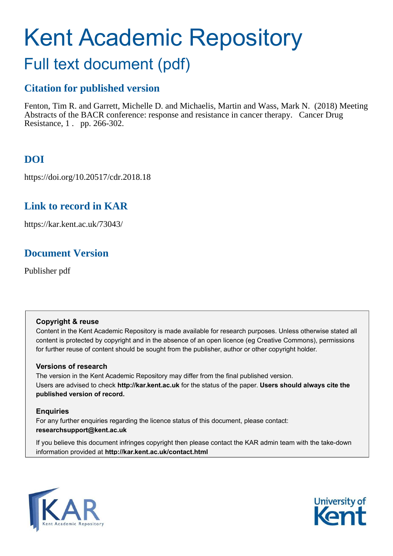# Kent Academic Repository

# Full text document (pdf)

### **Citation for published version**

Fenton, Tim R. and Garrett, Michelle D. and Michaelis, Martin and Wass, Mark N. (2018) Meeting Abstracts of the BACR conference: response and resistance in cancer therapy. Cancer Drug Resistance, 1 . pp. 266-302.

### **DOI**

https://doi.org/10.20517/cdr.2018.18

### **Link to record in KAR**

https://kar.kent.ac.uk/73043/

### **Document Version**

Publisher pdf

### **Copyright & reuse**

Content in the Kent Academic Repository is made available for research purposes. Unless otherwise stated all content is protected by copyright and in the absence of an open licence (eg Creative Commons), permissions for further reuse of content should be sought from the publisher, author or other copyright holder.

### **Versions of research**

The version in the Kent Academic Repository may differ from the final published version. Users are advised to check **http://kar.kent.ac.uk** for the status of the paper. **Users should always cite the published version of record.**

### **Enquiries**

For any further enquiries regarding the licence status of this document, please contact: **researchsupport@kent.ac.uk**

If you believe this document infringes copyright then please contact the KAR admin team with the take-down information provided at **http://kar.kent.ac.uk/contact.html**



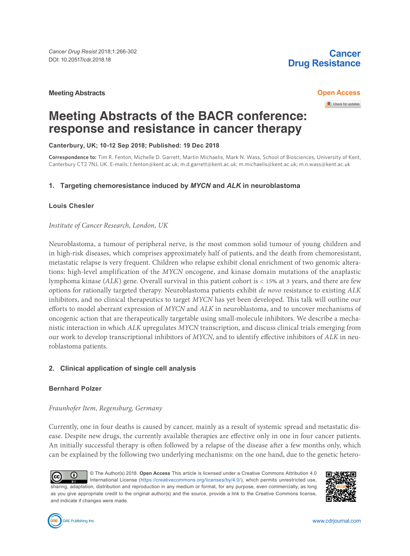### **Meeting Abstracts Open Access**

### **Cancer Drug Resistance**

Check for updates

## **Meeting Abstracts of the BACR conference: response and resistance in cancer therapy**

**Canterbury, UK; 10-12 Sep 2018; Published: 19 Dec 2018**

**Correspondence to:** Tim R. Fenton, Michelle D. Garrett, Martin Michaelis, Mark N. Wass, School of Biosciences, University of Kent, Canterbury CT2 7NJ, UK. E-mails: t.fenton@kent.ac.uk; m.d.garrett@kent.ac.uk; m.michaelis@kent.ac.uk; m.n.wass@kent.ac.uk

### **1. Targeting chemoresistance induced by** *MYCN* **and** *ALK* **in neuroblastoma**

#### **Louis Chesler**

*Institute of Cancer Research, London, UK*

Neuroblastoma, a tumour of peripheral nerve, is the most common solid tumour of young children and in high-risk diseases, which comprises approximately half of patients, and the death from chemoresistant, metastatic relapse is very frequent. Children who relapse exhibit clonal enrichment of two genomic alterations: high-level amplification of the *MYCN* oncogene, and kinase domain mutations of the anaplastic lymphoma kinase (*ALK*) gene. Overall survival in this patient cohort is < 15% at 3 years, and there are few options for rationally targeted therapy. Neuroblastoma patients exhibit *de novo* resistance to existing *ALK* inhibitors, and no clinical therapeutics to target *MYCN* has yet been developed. This talk will outline our eforts to model aberrant expression of *MYCN* and *ALK* in neuroblastoma, and to uncover mechanisms of oncogenic action that are therapeutically targetable using small-molecule inhibitors. We describe a mechanistic interaction in which *ALK* upregulates *MYCN* transcription, and discuss clinical trials emerging from our work to develop transcriptional inhibitors of *MYCN*, and to identify efective inhibitors of *ALK* in neuroblastoma patients.

### **2. Clinical application of single cell analysis**

### **Bernhard Polzer**

### *Fraunhofer Item, Regensburg, Germany*

Currently, one in four deaths is caused by cancer, mainly as a result of systemic spread and metastatic disease. Despite new drugs, the currently available therapies are efective only in one in four cancer patients. An initially successful therapy is oten followed by a relapse of the disease ater a few months only, which can be explained by the following two underlying mechanisms: on the one hand, due to the genetic hetero-

© The Author(s) 2018. **Open Access** This article is licensed under a Creative Commons Attribution 4.0 O Cc<sub>c</sub> International License (https://creativecommons.org/licenses/by/4.0/), which permits unrestricted use, sharing, adaptation, distribution and reproduction in any medium or format, for any purpose, even commercially, as long as you give appropriate credit to the original author(s) and the source, provide a link to the Creative Commons license, and indicate if changes were made.



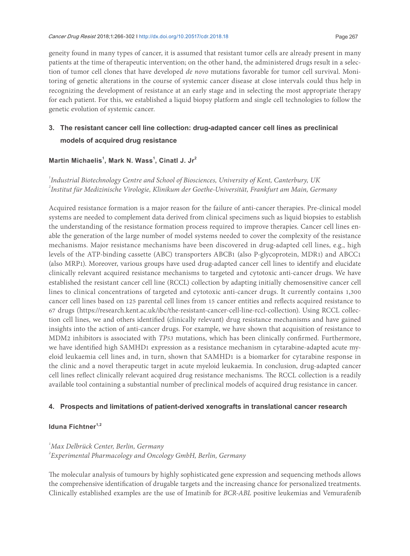geneity found in many types of cancer, it is assumed that resistant tumor cells are already present in many patients at the time of therapeutic intervention; on the other hand, the administered drugs result in a selection of tumor cell clones that have developed *de novo* mutations favorable for tumor cell survival. Monitoring of genetic alterations in the course of systemic cancer disease at close intervals could thus help in recognizing the development of resistance at an early stage and in selecting the most appropriate therapy for each patient. For this, we established a liquid biopsy platform and single cell technologies to follow the genetic evolution of systemic cancer.

### **3. The resistant cancer cell line collection: drug-adapted cancer cell lines as preclinical models of acquired drug resistance**

### **Martin Michaelis<sup>1</sup> , Mark N. Wass<sup>1</sup> , Cinatl J. Jr<sup>2</sup>**

*1 Industrial Biotechnology Centre and School of Biosciences, University of Kent, Canterbury, UK 2 Institut für Medizinische Virologie, Klinikum der Goethe-Universität, Frankfurt am Main, Germany*

Acquired resistance formation is a major reason for the failure of anti-cancer therapies. Pre-clinical model systems are needed to complement data derived from clinical specimens such as liquid biopsies to establish the understanding of the resistance formation process required to improve therapies. Cancer cell lines enable the generation of the large number of model systems needed to cover the complexity of the resistance mechanisms. Major resistance mechanisms have been discovered in drug-adapted cell lines, e.g., high levels of the ATP-binding cassette (ABC) transporters ABCB1 (also P-glycoprotein, MDR1) and ABCC1 (also MRP1). Moreover, various groups have used drug-adapted cancer cell lines to identify and elucidate clinically relevant acquired resistance mechanisms to targeted and cytotoxic anti-cancer drugs. We have established the resistant cancer cell line (RCCL) collection by adapting initially chemosensitive cancer cell lines to clinical concentrations of targeted and cytotoxic anti-cancer drugs. It currently contains 1,300 cancer cell lines based on 125 parental cell lines from 15 cancer entities and relects acquired resistance to 67 drugs (https://research.kent.ac.uk/ibc/the-resistant-cancer-cell-line-rccl-collection). Using RCCL collection cell lines, we and others identiied (clinically relevant) drug resistance mechanisms and have gained insights into the action of anti-cancer drugs. For example, we have shown that acquisition of resistance to MDM2 inhibitors is associated with *TP53* mutations, which has been clinically conirmed. Furthermore, we have identiied high SAMHD1 expression as a resistance mechanism in cytarabine-adapted acute myeloid leukaemia cell lines and, in turn, shown that SAMHD1 is a biomarker for cytarabine response in the clinic and a novel therapeutic target in acute myeloid leukaemia. In conclusion, drug-adapted cancer cell lines reflect clinically relevant acquired drug resistance mechanisms. The RCCL collection is a readily available tool containing a substantial number of preclinical models of acquired drug resistance in cancer.

### **4. Prospects and limitations of patient-derived xenografts in translational cancer research**

### **Iduna Fichtner1,2**

### *<sup>1</sup>Max Delbrück Center, Berlin, Germany 2 Experimental Pharmacology and Oncology GmbH, Berlin, Germany*

he molecular analysis of tumours by highly sophisticated gene expression and sequencing methods allows the comprehensive identiication of drugable targets and the increasing chance for personalized treatments. Clinically established examples are the use of Imatinib for *BCR-ABL* positive leukemias and Vemurafenib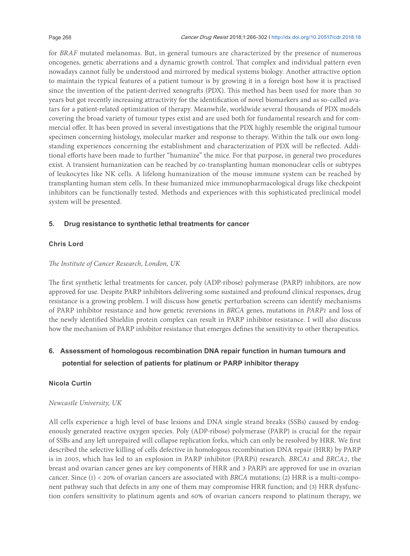for *BRAF* mutated melanomas. But, in general tumours are characterized by the presence of numerous oncogenes, genetic aberrations and a dynamic growth control. hat complex and individual pattern even nowadays cannot fully be understood and mirrored by medical systems biology. Another attractive option to maintain the typical features of a patient tumour is by growing it in a foreign host how it is practised since the invention of the patient-derived xenografts (PDX). This method has been used for more than 30 years but got recently increasing attractivity for the identification of novel biomarkers and as so-called avatars for a patient-related optimization of therapy. Meanwhile, worldwide several thousands of PDX models covering the broad variety of tumour types exist and are used both for fundamental research and for commercial ofer. It has been proved in several investigations that the PDX highly resemble the original tumour specimen concerning histology, molecular marker and response to therapy. Within the talk our own longstanding experiences concerning the establishment and characterization of PDX will be relected. Additional eforts have been made to further "humanize" the mice. For that purpose, in general two procedures exist. A transient humanization can be reached by co-transplanting human mononuclear cells or subtypes of leukocytes like NK cells. A lifelong humanization of the mouse immune system can be reached by transplanting human stem cells. In these humanized mice immunopharmacological drugs like checkpoint inhibitors can be functionally tested. Methods and experiences with this sophisticated preclinical model system will be presented.

### **5. Drug resistance to synthetic lethal treatments for cancer**

### **Chris Lord**

### *he Institute of Cancer Research, London, UK*

The first synthetic lethal treatments for cancer, poly (ADP-ribose) polymerase (PARP) inhibitors, are now approved for use. Despite PARP inhibitors delivering some sustained and profound clinical responses, drug resistance is a growing problem. I will discuss how genetic perturbation screens can identify mechanisms of PARP inhibitor resistance and how genetic reversions in *BRCA* genes, mutations in *PARP1* and loss of the newly identified Shieldin protein complex can result in PARP inhibitor resistance. I will also discuss how the mechanism of PARP inhibitor resistance that emerges defines the sensitivity to other therapeutics.

### **6. Assessment of homologous recombination DNA repair function in human tumours and potential for selection of patients for platinum or PARP inhibitor therapy**

### **Nicola Curtin**

### *Newcastle University, UK*

All cells experience a high level of base lesions and DNA single strand breaks (SSBs) caused by endogenously generated reactive oxygen species. Poly (ADP-ribose) polymerase (PARP) is crucial for the repair of SSBs and any let unrepaired will collapse replication forks, which can only be resolved by HRR. We irst described the selective killing of cells defective in homologous recombination DNA repair (HRR) by PARP is in 2005, which has led to an explosion in PARP inhibitor (PARPi) research. *BRCA1* and *BRCA2*, the breast and ovarian cancer genes are key components of HRR and 3 PARPi are approved for use in ovarian cancer. Since (1) < 20% of ovarian cancers are associated with *BRCA* mutations; (2) HRR is a multi-component pathway such that defects in any one of them may compromise HRR function; and (3) HRR dysfunction confers sensitivity to platinum agents and 60% of ovarian cancers respond to platinum therapy, we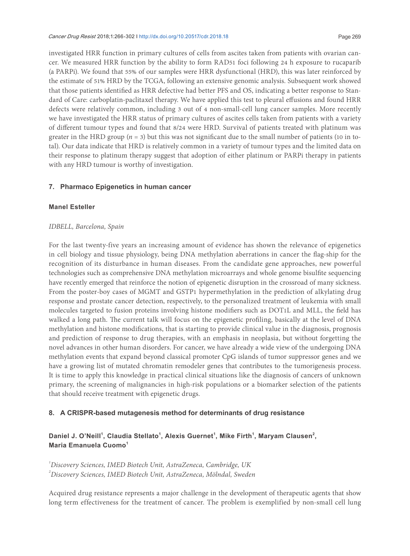investigated HRR function in primary cultures of cells from ascites taken from patients with ovarian cancer. We measured HRR function by the ability to form RAD51 foci following 24 h exposure to rucaparib (a PARPi). We found that 55% of our samples were HRR dysfunctional (HRD), this was later reinforced by the estimate of 51% HRD by the TCGA, following an extensive genomic analysis. Subsequent work showed that those patients identiied as HRR defective had better PFS and OS, indicating a better response to Standard of Care: carboplatin-paclitaxel therapy. We have applied this test to pleural efusions and found HRR defects were relatively common, including 3 out of 4 non-small-cell lung cancer samples. More recently we have investigated the HRR status of primary cultures of ascites cells taken from patients with a variety of diferent tumour types and found that 8/24 were HRD. Survival of patients treated with platinum was greater in the HRD group ( $n = 3$ ) but this was not significant due to the small number of patients (10 in total). Our data indicate that HRD is relatively common in a variety of tumour types and the limited data on their response to platinum therapy suggest that adoption of either platinum or PARPi therapy in patients with any HRD tumour is worthy of investigation.

#### **7. Pharmaco Epigenetics in human cancer**

#### **Manel Esteller**

#### *IDBELL, Barcelona, Spain*

For the last twenty-five years an increasing amount of evidence has shown the relevance of epigenetics in cell biology and tissue physiology, being DNA methylation aberrations in cancer the lag-ship for the recognition of its disturbance in human diseases. From the candidate gene approaches, new powerful technologies such as comprehensive DNA methylation microarrays and whole genome bisulite sequencing have recently emerged that reinforce the notion of epigenetic disruption in the crossroad of many sickness. From the poster-boy cases of MGMT and GSTP1 hypermethylation in the prediction of alkylating drug response and prostate cancer detection, respectively, to the personalized treatment of leukemia with small molecules targeted to fusion proteins involving histone modifiers such as DOT1L and MLL, the field has walked a long path. The current talk will focus on the epigenetic profiling, basically at the level of DNA methylation and histone modifications, that is starting to provide clinical value in the diagnosis, prognosis and prediction of response to drug therapies, with an emphasis in neoplasia, but without forgetting the novel advances in other human disorders. For cancer, we have already a wide view of the undergoing DNA methylation events that expand beyond classical promoter CpG islands of tumor suppressor genes and we have a growing list of mutated chromatin remodeler genes that contributes to the tumorigenesis process. It is time to apply this knowledge in practical clinical situations like the diagnosis of cancers of unknown primary, the screening of malignancies in high-risk populations or a biomarker selection of the patients that should receive treatment with epigenetic drugs.

#### **8. A CRISPR-based mutagenesis method for determinants of drug resistance**

### Daniel J. O'Neill<sup>1</sup>, Claudia Stellato<sup>1</sup>, Alexis Guernet<sup>1</sup>, Mike Firth<sup>1</sup>, Maryam Clausen<sup>2</sup>, **Maria Emanuela Cuomo<sup>1</sup>**

*1 Discovery Sciences, IMED Biotech Unit, AstraZeneca, Cambridge, UK 2 Discovery Sciences, IMED Biotech Unit, AstraZeneca, Mölndal, Sweden*

Acquired drug resistance represents a major challenge in the development of therapeutic agents that show long term effectiveness for the treatment of cancer. The problem is exemplified by non-small cell lung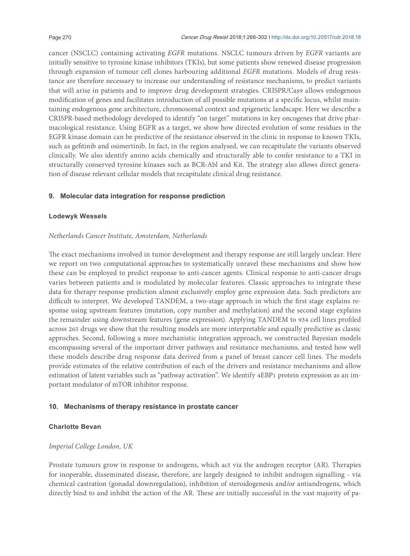cancer (NSCLC) containing activating *EGFR* mutations. NSCLC tumours driven by *EGFR* variants are initially sensitive to tyrosine kinase inhibitors (TKIs), but some patients show renewed disease progression through expansion of tumour cell clones harbouring additional *EGFR* mutations. Models of drug resistance are therefore necessary to increase our understanding of resistance mechanisms, to predict variants that will arise in patients and to improve drug development strategies. CRISPR/Cas9 allows endogenous modification of genes and facilitates introduction of all possible mutations at a specific locus, whilst maintaining endogenous gene architecture, chromosomal context and epigenetic landscape. Here we describe a CRISPR-based methodology developed to identify "on target" mutations in key oncogenes that drive pharmacological resistance. Using EGFR as a target, we show how directed evolution of some residues in the EGFR kinase domain can be predictive of the resistance observed in the clinic in response to known TKIs, such as gefitinib and osimertinib. In fact, in the region analysed, we can recapitulate the variants observed clinically. We also identify amino acids chemically and structurally able to confer resistance to a TKI in structurally conserved tyrosine kinases such as BCR-Abl and Kit. The strategy also allows direct generation of disease relevant cellular models that recapitulate clinical drug resistance.

### **9. Molecular data integration for response prediction**

### **Lodewyk Wessels**

### *Netherlands Cancer Institute, Amsterdam, Netherlands*

he exact mechanisms involved in tumor development and therapy response are still largely unclear. Here we report on two computational approaches to systematically unravel these mechanisms and show how these can be employed to predict response to anti-cancer agents. Clinical response to anti-cancer drugs varies between patients and is modulated by molecular features. Classic approaches to integrate these data for therapy response prediction almost exclusively employ gene expression data. Such predictors are difficult to interpret. We developed TANDEM, a two-stage approach in which the first stage explains response using upstream features (mutation, copy number and methylation) and the second stage explains the remainder using downstream features (gene expression). Applying TANDEM to 934 cell lines profiled across 265 drugs we show that the resulting models are more interpretable and equally predictive as classic approches. Second, following a more mechanistic integration approach, we constructed Bayesian models encompassing several of the important driver pathways and resistance mechanisms, and tested how well these models describe drug response data derived from a panel of breast cancer cell lines. The models provide estimates of the relative contribution of each of the drivers and resistance mechanisms and allow estimation of latent variables such as "pathway activation". We identify 4EBP1 protein expression as an important modulator of mTOR inhibitor response.

### **10. Mechanisms of therapy resistance in prostate cancer**

### **Charlotte Bevan**

### *Imperial College London, UK*

Prostate tumours grow in response to androgens, which act via the androgen receptor (AR). Therapies for inoperable, disseminated disease, therefore, are largely designed to inhibit androgen signalling - via chemical castration (gonadal downregulation), inhibition of steroidogenesis and/or antiandrogens, which directly bind to and inhibit the action of the AR. These are initially successful in the vast majority of pa-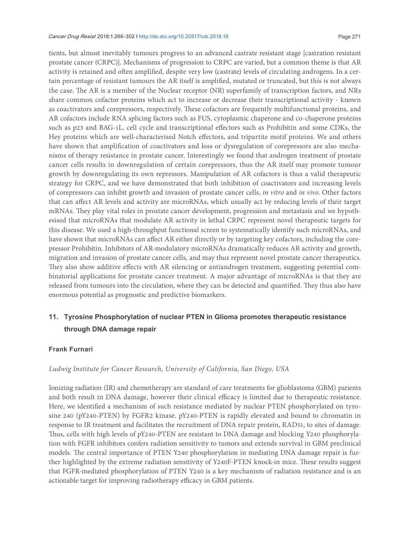#### Cancer Drug Resist 2018;1:266-302 I http://dx.doi.org/10.20517/cdr.2018.18 Page 271

tients, but almost inevitably tumours progress to an advanced castrate resistant stage [castration resistant prostate cancer (CRPC)]. Mechanisms of progression to CRPC are varied, but a common theme is that AR activity is retained and oten ampliied, despite very low (castrate) levels of circulating androgens. In a certain percentage of resistant tumours the AR itself is ampliied, mutated or truncated, but this is not always the case. he AR is a member of the Nuclear receptor (NR) superfamily of transcription factors, and NRs share common cofactor proteins which act to increase or decrease their transcriptional activity - known as coactivators and corepressors, respectively. These cofactors are frequently multifunctional proteins, and AR cofactors include RNA splicing factors such as FUS, cytoplasmic chaperone and co-chaperone proteins such as p23 and BAG-1L, cell cycle and transcriptional efectors such as Prohibitin and some CDKs, the Hey proteins which are well-characterised Notch efectors, and tripartite motif proteins. We and others have shown that ampliication of coactivators and loss or dysregulation of corepressors are also mechanisms of therapy resistance in prostate cancer. Interestingly we found that androgen treatment of prostate cancer cells results in downregulation of certain corepressors, thus the AR itself may promote tumour growth by downregulating its own repressors. Manipulation of AR cofactors is thus a valid therapeutic strategy for CRPC, and we have demonstrated that both inhibition of coactivators and increasing levels of corepressors can inhibit growth and invasion of prostate cancer cells, *in vitro* and *in vivo*. Other factors that can afect AR levels and activity are microRNAs, which usually act by reducing levels of their target mRNAs. They play vital roles in prostate cancer development, progression and metastasis and we hypothesised that microRNAs that modulate AR activity in lethal CRPC represent novel therapeutic targets for this disease. We used a high-throughput functional screen to systematically identify such microRNAs, and have shown that microRNAs can affect AR either directly or by targeting key cofactors, including the corepressor Prohibitin. Inhibitors of AR-modulatory microRNAs dramatically reduces AR activity and growth, migration and invasion of prostate cancer cells, and may thus represent novel prostate cancer therapeutics. They also show additive effects with AR silencing or antiandrogen treatment, suggesting potential combinatorial applications for prostate cancer treatment. A major advantage of microRNAs is that they are released from tumours into the circulation, where they can be detected and quantified. They thus also have enormous potential as prognostic and predictive biomarkers.

### **11. Tyrosine Phosphorylation of nuclear PTEN in Glioma promotes therapeutic resistance through DNA damage repair**

### **Frank Furnari**

### *Ludwig Institute for Cancer Research, University of California, San Diego, USA*

Ionizing radiation (IR) and chemotherapy are standard of care treatments for glioblastoma (GBM) patients and both result in DNA damage, however their clinical efficacy is limited due to therapeutic resistance. Here, we identified a mechanism of such resistance mediated by nuclear PTEN phosphorylated on tyrosine 240 (pY240-PTEN) by FGFR2 kinase. pY240-PTEN is rapidly elevated and bound to chromatin in response to IR treatment and facilitates the recruitment of DNA repair protein, RAD51, to sites of damage. hus, cells with high levels of pY240-PTEN are resistant to DNA damage and blocking Y240 phosphorylation with FGFR inhibitors confers radiation sensitivity to tumors and extends survival in GBM preclinical models. The central importance of PTEN Y240 phosphorylation in mediating DNA damage repair is further highlighted by the extreme radiation sensitivity of Y240F-PTEN knock-in mice. These results suggest that FGFR-mediated phosphorylation of PTEN Y240 is a key mechanism of radiation resistance and is an actionable target for improving radiotherapy efficacy in GBM patients.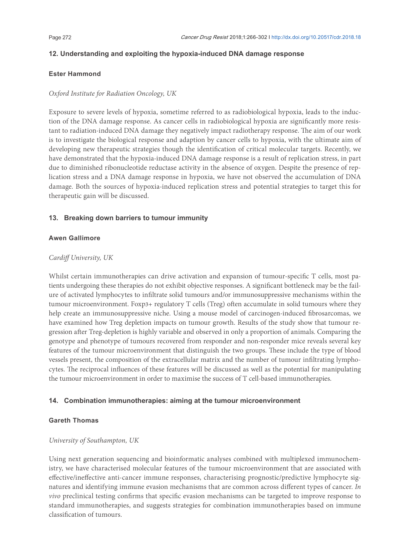### **12. Understanding and exploiting the hypoxia-induced DNA damage response**

#### **Ester Hammond**

#### *Oxford Institute for Radiation Oncology, UK*

Exposure to severe levels of hypoxia, sometime referred to as radiobiological hypoxia, leads to the induction of the DNA damage response. As cancer cells in radiobiological hypoxia are signiicantly more resistant to radiation-induced DNA damage they negatively impact radiotherapy response. The aim of our work is to investigate the biological response and adaption by cancer cells to hypoxia, with the ultimate aim of developing new therapeutic strategies though the identification of critical molecular targets. Recently, we have demonstrated that the hypoxia-induced DNA damage response is a result of replication stress, in part due to diminished ribonucleotide reductase activity in the absence of oxygen. Despite the presence of replication stress and a DNA damage response in hypoxia, we have not observed the accumulation of DNA damage. Both the sources of hypoxia-induced replication stress and potential strategies to target this for therapeutic gain will be discussed.

#### **13. Breaking down barriers to tumour immunity**

#### **Awen Gallimore**

#### *Cardif University, UK*

Whilst certain immunotherapies can drive activation and expansion of tumour-specific T cells, most patients undergoing these therapies do not exhibit objective responses. A significant bottleneck may be the failure of activated lymphocytes to iniltrate solid tumours and/or immunosuppressive mechanisms within the tumour microenvironment. Foxp3+ regulatory T cells (Treg) oten accumulate in solid tumours where they help create an immunosuppressive niche. Using a mouse model of carcinogen-induced ibrosarcomas, we have examined how Treg depletion impacts on tumour growth. Results of the study show that tumour regression after Treg-depletion is highly variable and observed in only a proportion of animals. Comparing the genotype and phenotype of tumours recovered from responder and non-responder mice reveals several key features of the tumour microenvironment that distinguish the two groups. These include the type of blood vessels present, the composition of the extracellular matrix and the number of tumour infiltrating lymphocytes. The reciprocal influences of these features will be discussed as well as the potential for manipulating the tumour microenvironment in order to maximise the success of T cell-based immunotherapies.

### **14. Combination immunotherapies: aiming at the tumour microenvironment**

#### **Gareth Thomas**

#### *University of Southampton, UK*

Using next generation sequencing and bioinformatic analyses combined with multiplexed immunochemistry, we have characterised molecular features of the tumour microenvironment that are associated with efective/inefective anti-cancer immune responses, characterising prognostic/predictive lymphocyte signatures and identifying immune evasion mechanisms that are common across diferent types of cancer. *In vivo* preclinical testing confirms that specific evasion mechanisms can be targeted to improve response to standard immunotherapies, and suggests strategies for combination immunotherapies based on immune classification of tumours.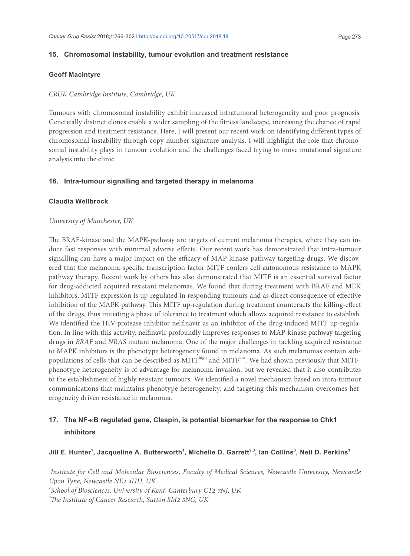#### **15. Chromosomal instability, tumour evolution and treatment resistance**

#### **Geoff Macintyre**

#### *CRUK Cambridge Institute, Cambridge, UK*

Tumours with chromosomal instability exhibit increased intratumoral heterogeneity and poor prognosis. Genetically distinct clones enable a wider sampling of the itness landscape, increasing the chance of rapid progression and treatment resistance. Here, I will present our recent work on identifying diferent types of chromosomal instability through copy number signature analysis. I will highlight the role that chromosomal instability plays in tumour evolution and the challenges faced trying to move mutational signature analysis into the clinic.

#### **16. Intra-tumour signalling and targeted therapy in melanoma**

#### **Claudia Wellbrock**

#### *University of Manchester, UK*

The BRAF-kinase and the MAPK-pathway are targets of current melanoma therapies, where they can induce fast responses with minimal adverse efects. Our recent work has demonstrated that intra-tumour signalling can have a major impact on the efficacy of MAP-kinase pathway targeting drugs. We discovered that the melanoma-speciic transcription factor MITF confers cell-autonomous resistance to MAPK pathway therapy. Recent work by others has also demonstrated that MITF is an essential survival factor for drug-addicted acquired resistant melanomas. We found that during treatment with BRAF and MEK inhibitors, MITF expression is up-regulated in responding tumours and as direct consequence of efective inhibition of the MAPK pathway. This MITF up-regulation during treatment counteracts the killing-effect of the drugs, thus initiating a phase of tolerance to treatment which allows acquired resistance to establish. We identified the HIV-protease inhibitor nelfinavir as an inhibitor of the drug-induced MITF up-regulation. In line with this activity, nelinavir profoundly improves responses to MAP-kinase pathway targeting drugs in *BRAF* and *NRAS* mutant melanoma. One of the major challenges in tackling acquired resistance to MAPK inhibitors is the phenotype heterogeneity found in melanoma. As such melanomas contain subpopulations of cells that can be described as MITF<sup>high</sup> and MITF<sup>low</sup>. We had shown previously that MITFphenotype heterogeneity is of advantage for melanoma invasion, but we revealed that it also contributes to the establishment of highly resistant tumours. We identiied a novel mechanism based on intra-tumour communications that maintains phenotype heterogeneity, and targeting this mechanism overcomes heterogeneity driven resistance in melanoma.

### **17. The NF-**κ**B regulated gene, Claspin, is potential biomarker for the response to Chk1 inhibitors**

### **Jill E. Hunter<sup>1</sup> , Jacqueline A. Butterworth<sup>1</sup> , Michelle D. Garrett2,3, Ian Collins<sup>3</sup> , Neil D. Perkins<sup>1</sup>**

*1 Institute for Cell and Molecular Biosciences, Faculty of Medical Sciences, Newcastle University, Newcastle Upon Tyne, Newcastle NE2 4HH, UK*

*2 School of Biosciences, University of Kent, Canterbury CT2 7NJ, UK*

*<sup>3</sup>he Institute of Cancer Research, Sutton SM2 5NG, UK*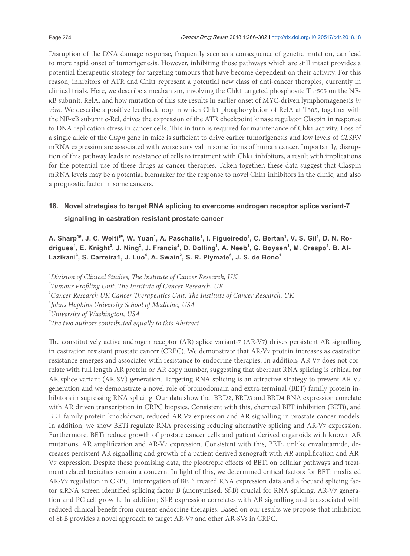Disruption of the DNA damage response, frequently seen as a consequence of genetic mutation, can lead to more rapid onset of tumorigenesis. However, inhibiting those pathways which are still intact provides a potential therapeutic strategy for targeting tumours that have become dependent on their activity. For this reason, inhibitors of ATR and Chk1 represent a potential new class of anti-cancer therapies, currently in clinical trials. Here, we describe a mechanism, involving the Chk1 targeted phosphosite Thr505 on the NFκB subunit, RelA, and how mutation of this site results in earlier onset of MYC-driven lymphomagenesis *in vivo.* We describe a positive feedback loop in which Chk1 phosphorylation of RelA at T505, together with the NF-κB subunit c-Rel, drives the expression of the ATR checkpoint kinase regulator Claspin in response to DNA replication stress in cancer cells. This in turn is required for maintenance of Chk1 activity. Loss of a single allele of the *Clspn* gene in mice is sufficient to drive earlier tumorigenesis and low levels of *CLSPN* mRNA expression are associated with worse survival in some forms of human cancer. Importantly, disruption of this pathway leads to resistance of cells to treatment with Chk1 inhibitors, a result with implications for the potential use of these drugs as cancer therapies. Taken together, these data suggest that Claspin mRNA levels may be a potential biomarker for the response to novel Chk1 inhibitors in the clinic, and also a prognostic factor in some cancers.

### **18. Novel strategies to target RNA splicing to overcome androgen receptor splice variant-7 signalling in castration resistant prostate cancer**

**A. Sharp1#, J. C. Welti1#, W. Yuan<sup>1</sup> , A. Paschalis<sup>1</sup> , I. Figueiredo<sup>1</sup> , C. Bertan<sup>1</sup> , V. S. Gil<sup>1</sup> , D. N. Ro**drigues<sup>1</sup>, E. Knight<sup>2</sup>, J. Ning<sup>2</sup>, J. Francis<sup>2</sup>, D. Dolling<sup>1</sup>, A. Neeb<sup>1</sup>, G. Boysen<sup>1</sup>, M. Crespo<sup>1</sup>, B. Al-**Lazikani<sup>3</sup> , S. Carreira1, J. Luo<sup>4</sup> , A. Swain<sup>2</sup> , S. R. Plymate<sup>5</sup> , J. S. de Bono<sup>1</sup>**

*1 Division of Clinical Studies, he Institute of Cancer Research, UK* <sup>2</sup> Tumour Profiling Unit, The Institute of Cancer Research, UK <sup>3</sup> Cancer Research UK Cancer Therapeutics Unit, The Institute of Cancer Research, UK *4 Johns Hopkins University School of Medicine, USA 5 University of Washington, USA #he two authors contributed equally to this Abstract*

The constitutively active androgen receptor (AR) splice variant-7 (AR-V7) drives persistent AR signalling in castration resistant prostate cancer (CRPC). We demonstrate that AR-V7 protein increases as castration resistance emerges and associates with resistance to endocrine therapies. In addition, AR-V7 does not correlate with full length AR protein or AR copy number, suggesting that aberrant RNA splicing is critical for AR splice variant (AR-SV) generation. Targeting RNA splicing is an attractive strategy to prevent AR-V7 generation and we demonstrate a novel role of bromodomain and extra-terminal (BET) family protein inhibitors in supressing RNA splicing. Our data show that BRD2, BRD3 and BRD4 RNA expression correlate with AR driven transcription in CRPC biopsies. Consistent with this, chemical BET inhibition (BETi), and BET family protein knockdown, reduced AR-V7 expression and AR signalling in prostate cancer models. In addition, we show BETi regulate RNA processing reducing alternative splicing and AR-V7 expression. Furthermore, BETi reduce growth of prostate cancer cells and patient derived organoids with known AR mutations, AR ampliication and AR-V7 expression. Consistent with this, BETi, unlike enzalutamide, decreases persistent AR signalling and growth of a patient derived xenograt with *AR* ampliication and AR-V7 expression. Despite these promising data, the pleotropic efects of BETi on cellular pathways and treatment related toxicities remain a concern. In light of this, we determined critical factors for BETi mediated AR-V7 regulation in CRPC. Interrogation of BETi treated RNA expression data and a focused splicing factor siRNA screen identiied splicing factor B (anonymised; Sf-B) crucial for RNA splicing, AR-V7 generation and PC cell growth. In addition; Sf-B expression correlates with AR signalling and is associated with reduced clinical beneit from current endocrine therapies. Based on our results we propose that inhibition of Sf-B provides a novel approach to target AR-V7 and other AR-SVs in CRPC.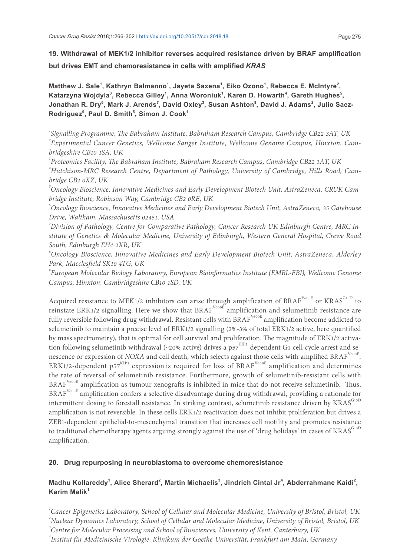**19. Withdrawal of MEK1/2 inhibitor reverses acquired resistance driven by BRAF amplification but drives EMT and chemoresistance in cells with amplified** *KRAS*

Matthew J. Sale<sup>1</sup>, Kathryn Balmanno<sup>1</sup>, Jayeta Saxena<sup>1</sup>, Eiko Ozono<sup>1</sup>, Rebecca E. McIntyre<sup>2</sup>, Katarzyna Wojdyla<sup>3</sup>, Rebecca Gilley<sup>1</sup>, Anna Woroniuk<sup>1</sup>, Karen D. Howarth<sup>4</sup>, Gareth Hughes<sup>5</sup>, **Jonathan R. Dry<sup>6</sup> , Mark J. Arends<sup>7</sup> , David Oxley<sup>3</sup> , Susan Ashton<sup>8</sup> , David J. Adams<sup>2</sup> , Julio Saez-Rodriguez<sup>9</sup> , Paul D. Smith<sup>5</sup> , Simon J. Cook<sup>1</sup>**

<sup>1</sup>Signalling Programme, The Babraham Institute, Babraham Research Campus, Cambridge CB22 3AT, UK *2 Experimental Cancer Genetics, Wellcome Sanger Institute, Wellcome Genome Campus, Hinxton, Cambridgeshire CB10 1SA, UK*

*3 Proteomics Facility, he Babraham Institute, Babraham Research Campus, Cambridge CB22 3AT, UK <sup>4</sup>Hutchison-MRC Research Centre, Department of Pathology, University of Cambridge, Hills Road, Cambridge CB2 0XZ, UK*

*5 Oncology Bioscience, Innovative Medicines and Early Development Biotech Unit, AstraZeneca, CRUK Cambridge Institute, Robinson Way, Cambridge CB2 0RE, UK*

*6 Oncology Bioscience, Innovative Medicines and Early Development Biotech Unit, AstraZeneca, 35 Gatehouse Drive, Waltham, Massachusetts 02451, USA*

*7 Division of Pathology, Centre for Comparative Pathology, Cancer Research UK Edinburgh Centre, MRC Institute of Genetics & Molecular Medicine, University of Edinburgh, Western General Hospital, Crewe Road South, Edinburgh EH4 2XR, UK*

*8 Oncology Bioscience, Innovative Medicines and Early Development Biotech Unit, AstraZeneca, Alderley Park, Macclesield SK10 4TG, UK*

*9 European Molecular Biology Laboratory, European Bioinformatics Institute (EMBL-EBI), Wellcome Genome Campus, Hinxton, Cambridgeshire CB10 1SD, UK*

Acquired resistance to MEK1/2 inhibitors can arise through amplification of BRAF<sup>V600E</sup> or KRAS<sup>G13D</sup> to reinstate ERK1/2 signalling. Here we show that BRAF<sup>V600E</sup> amplification and selumetinib resistance are fully reversible following drug withdrawal. Resistant cells with BRAF<sup>V600E</sup> amplification become addicted to selumetinib to maintain a precise level of ERK1/2 signalling (2%-3% of total ERK1/2 active, here quantified by mass spectrometry), that is optimal for cell survival and proliferation. The magnitude of ERK1/2 activation following selumetinib withdrawal (~20% active) drives a  $p57<sup>KIP2</sup>$ -dependent G1 cell cycle arrest and senescence or expression of *NOXA* and cell death, which selects against those cells with amplified BRAF<sup>V600E</sup>. ERK1/2-dependent p57<sup>KIP2</sup> expression is required for loss of BRAF<sup>V600E</sup> amplification and determines the rate of reversal of selumetinib resistance. Furthermore, growth of selumetinib-resistant cells with  $BRAF<sup>V600E</sup>$  amplification as tumour xenografts is inhibited in mice that do not receive selumetinib. Thus, BRAF<sup>V600E</sup> amplification confers a selective disadvantage during drug withdrawal, providing a rationale for intermittent dosing to forestall resistance. In striking contrast, selumetinib resistance driven by KRAS<sup>G13D</sup> amplification is not reversible. In these cells ERK1/2 reactivation does not inhibit proliferation but drives a ZEB1-dependent epithelial-to-mesenchymal transition that increases cell motility and promotes resistance to traditional chemotherapy agents arguing strongly against the use of 'drug holidays' in cases of KRAS<sup>G13D</sup> amplification.

### **20. Drug repurposing in neuroblastoma to overcome chemoresistance**

### Madhu Kollareddy<sup>1</sup>, Alice Sherard<sup>2</sup>, Martin Michaelis<sup>3</sup>, Jindrich Cintal Jr<sup>4</sup>, Abderrahmane Kaidi<sup>2</sup>, **Karim Malik<sup>1</sup>**

*1 Cancer Epigenetics Laboratory, School of Cellular and Molecular Medicine, University of Bristol, Bristol, UK 2 Nuclear Dynamics Laboratory, School of Cellular and Molecular Medicine, University of Bristol, Bristol, UK*

*3 Centre for Molecular Processing and School of Biosciences, University of Kent, Canterbury, UK*

*4 Institut für Medizinische Virologie, Klinikum der Goethe-Universität, Frankfurt am Main, Germany*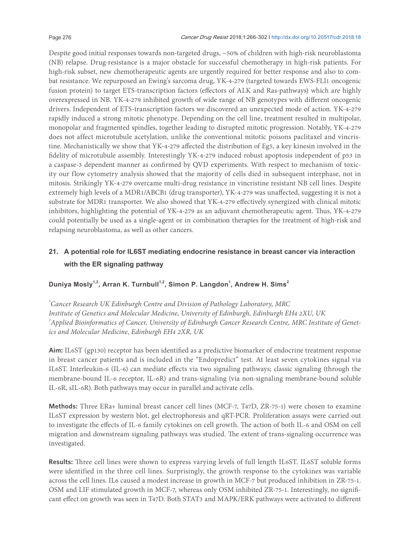Despite good initial responses towards non-targeted drugs, ~50% of children with high-risk neuroblastoma (NB) relapse. Drug-resistance is a major obstacle for successful chemotherapy in high-risk patients. For high-risk subset, new chemotherapeutic agents are urgently required for better response and also to combat resistance. We repurposed an Ewing's sarcoma drug, YK-4-279 (targeted towards EWS-FLI1 oncogenic fusion protein) to target ETS-transcription factors (efectors of ALK and Ras-pathways) which are highly overexpressed in NB. YK-4-279 inhibited growth of wide range of NB genotypes with diferent oncogenic drivers. Independent of ETS-transcription factors we discovered an unexpected mode of action. YK-4-279 rapidly induced a strong mitotic phenotype. Depending on the cell line, treatment resulted in multipolar, monopolar and fragmented spindles, together leading to disrupted mitotic progression. Notably, YK-4-279 does not affect microtubule acetylation, unlike the conventional mitotic poisons paclitaxel and vincristine. Mechanistically we show that YK-4-279 affected the distribution of Eg5, a key kinesin involved in the fidelity of microtubule assembly. Interestingly YK-4-279 induced robust apoptosis independent of p53 in a caspase-3 dependent manner as confirmed by QVD experiments. With respect to mechanism of toxicity our flow cytometry analysis showed that the majority of cells died in subsequent interphase, not in mitosis. Strikingly YK-4-279 overcame multi-drug resistance in vincristine resistant NB cell lines. Despite extremely high levels of a MDR1/ABCB1 (drug transporter), YK-4-279 was unafected, suggesting it is not a substrate for MDR1 transporter. We also showed that YK-4-279 efectively synergized with clinical mitotic inhibitors, highlighting the potential of YK-4-279 as an adjuvant chemotherapeutic agent. Thus, YK-4-279 could potentially be used as a single-agent or in combination therapies for the treatment of high-risk and relapsing neuroblastoma, as well as other cancers.

### **21. A potential role for IL6ST mediating endocrine resistance in breast cancer via interaction with the ER signaling pathway**

### **Duniya Mosly1,2, Arran K. Turnbull1,2, Simon P. Langdon<sup>1</sup> , Andrew H. Sims<sup>2</sup>**

*1 Cancer Research UK Edinburgh Centre and Division of Pathology Laboratory, MRC Institute of Genetics and Molecular Medicine, University of Edinburgh, Edinburgh EH4 2XU, UK 2 Applied Bioinformatics of Cancer, University of Edinburgh Cancer Research Centre, MRC Institute of Genetics and Molecular Medicine, Edinburgh EH4 2XR, UK*

Aim: IL6ST (gp130) receptor has been identified as a predictive biomarker of endocrine treatment response in breast cancer patients and is included in the "Endopredict" test. At least seven cytokines signal via IL6ST. Interleukin-6 (IL-6) can mediate efects via two signaling pathways; classic signaling (through the membrane-bound IL-6 receptor, IL-6R) and trans-signaling (via non-signaling membrane-bound soluble IL-6R, sIL-6R). Both pathways may occur in parallel and activate cells.

**Methods:** Three ERa+ luminal breast cancer cell lines (MCF-7, T47D, ZR-75-1) were chosen to examine IL6ST expression by western blot, gel electrophoresis and qRT-PCR. Proliferation assays were carried out to investigate the effects of IL-6 family cytokines on cell growth. The action of both IL-6 and OSM on cell migration and downstream signaling pathways was studied. The extent of trans-signaling occurrence was investigated.

Results: Three cell lines were shown to express varying levels of full length IL6ST. IL6ST soluble forms were identified in the three cell lines. Surprisingly, the growth response to the cytokines was variable across the cell lines. IL6 caused a modest increase in growth in MCF-7 but produced inhibition in ZR-75-1. OSM and LIF stimulated growth in MCF-7, whereas only OSM inhibited ZR-75-1. Interestingly, no signiicant efect on growth was seen in T47D. Both STAT3 and MAPK/ERK pathways were activated to diferent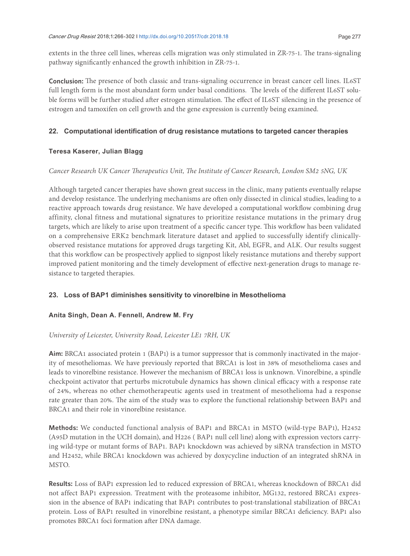extents in the three cell lines, whereas cells migration was only stimulated in ZR-75-1. he trans-signaling pathway significantly enhanced the growth inhibition in ZR-75-1.

**Conclusion:** he presence of both classic and trans-signaling occurrence in breast cancer cell lines. IL6ST full length form is the most abundant form under basal conditions. The levels of the different IL6ST soluble forms will be further studied after estrogen stimulation. The effect of IL6ST silencing in the presence of estrogen and tamoxifen on cell growth and the gene expression is currently being examined.

### **22. Computational identification of drug resistance mutations to targeted cancer therapies**

#### **Teresa Kaserer, Julian Blagg**

#### *Cancer Research UK Cancer herapeutics Unit, he Institute of Cancer Research, London SM2 5NG, UK*

Although targeted cancer therapies have shown great success in the clinic, many patients eventually relapse and develop resistance. he underlying mechanisms are oten only dissected in clinical studies, leading to a reactive approach towards drug resistance. We have developed a computational worklow combining drug affinity, clonal fitness and mutational signatures to prioritize resistance mutations in the primary drug targets, which are likely to arise upon treatment of a specific cancer type. This workflow has been validated on a comprehensive ERK2 benchmark literature dataset and applied to successfully identify clinicallyobserved resistance mutations for approved drugs targeting Kit, Abl, EGFR, and ALK. Our results suggest that this worklow can be prospectively applied to signpost likely resistance mutations and thereby support improved patient monitoring and the timely development of efective next-generation drugs to manage resistance to targeted therapies.

### **23. Loss of BAP1 diminishes sensitivity to vinorelbine in Mesothelioma**

### **Anita Singh, Dean A. Fennell, Andrew M. Fry**

### *University of Leicester, University Road, Leicester LE1 7RH, UK*

**Aim:** BRCA1 associated protein 1 (BAP1) is a tumor suppressor that is commonly inactivated in the majority of mesotheliomas. We have previously reported that BRCA1 is lost in 38% of mesothelioma cases and leads to vinorelbine resistance. However the mechanism of BRCA1 loss is unknown. Vinorelbine, a spindle checkpoint activator that perturbs microtubule dynamics has shown clinical efficacy with a response rate of 24%, whereas no other chemotherapeutic agents used in treatment of mesothelioma had a response rate greater than 20%. The aim of the study was to explore the functional relationship between BAP1 and BRCA1 and their role in vinorelbine resistance.

**Methods:** We conducted functional analysis of BAP1 and BRCA1 in MSTO (wild-type BAP1), H2452 (A95D mutation in the UCH domain), and H226 ( BAP1 null cell line) along with expression vectors carrying wild-type or mutant forms of BAP1. BAP1 knockdown was achieved by siRNA transfection in MSTO and H2452, while BRCA1 knockdown was achieved by doxycycline induction of an integrated shRNA in MSTO.

**Results:** Loss of BAP1 expression led to reduced expression of BRCA1, whereas knockdown of BRCA1 did not affect BAP1 expression. Treatment with the proteasome inhibitor, MG132, restored BRCA1 expression in the absence of BAP1 indicating that BAP1 contributes to post-translational stabilization of BRCA1 protein. Loss of BAP1 resulted in vinorelbine resistant, a phenotype similar BRCA1 deiciency. BAP1 also promotes BRCA1 foci formation after DNA damage.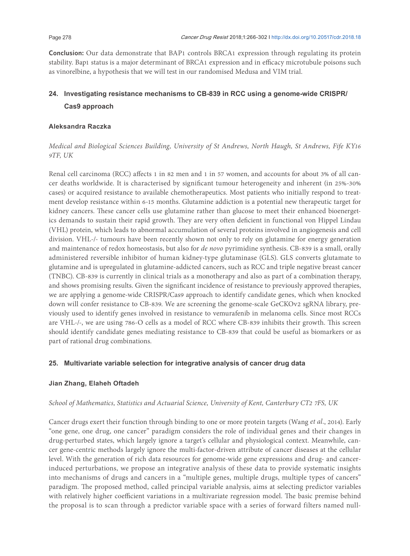**Conclusion:** Our data demonstrate that BAP1 controls BRCA1 expression through regulating its protein stability. Bap1 status is a major determinant of BRCA1 expression and in efficacy microtubule poisons such as vinorelbine, a hypothesis that we will test in our randomised Medusa and VIM trial.

### **24. Investigating resistance mechanisms to CB-839 in RCC using a genome-wide CRISPR/ Cas9 approach**

### **Aleksandra Raczka**

*Medical and Biological Sciences Building, University of St Andrews, North Haugh, St Andrews, Fife KY16 9TF, UK*

Renal cell carcinoma (RCC) afects 1 in 82 men and 1 in 57 women, and accounts for about 3% of all cancer deaths worldwide. It is characterised by signiicant tumour heterogeneity and inherent (in 25%-30% cases) or acquired resistance to available chemotherapeutics. Most patients who initially respond to treatment develop resistance within 6-15 months. Glutamine addiction is a potential new therapeutic target for kidney cancers. hese cancer cells use glutamine rather than glucose to meet their enhanced bioenergetics demands to sustain their rapid growth. They are very often deficient in functional von Hippel Lindau (VHL) protein, which leads to abnormal accumulation of several proteins involved in angiogenesis and cell division. VHL-/- tumours have been recently shown not only to rely on glutamine for energy generation and maintenance of redox homeostasis, but also for *de novo* pyrimidine synthesis. CB-839 is a small, orally administered reversible inhibitor of human kidney-type glutaminase (GLS). GLS converts glutamate to glutamine and is upregulated in glutamine-addicted cancers, such as RCC and triple negative breast cancer (TNBC). CB-839 is currently in clinical trials as a monotherapy and also as part of a combination therapy, and shows promising results. Given the significant incidence of resistance to previously approved therapies, we are applying a genome-wide CRISPR/Cas9 approach to identify candidate genes, which when knocked down will confer resistance to CB-839. We are screening the genome-scale GeCKOv2 sgRNA library, previously used to identify genes involved in resistance to vemurafenib in melanoma cells. Since most RCCs are VHL-/-, we are using 786-O cells as a model of RCC where CB-839 inhibits their growth. This screen should identify candidate genes mediating resistance to CB-839 that could be useful as biomarkers or as part of rational drug combinations.

### **25. Multivariate variable selection for integrative analysis of cancer drug data**

### **Jian Zhang, Elaheh Oftadeh**

### *School of Mathematics, Statistics and Actuarial Science, University of Kent, Canterbury CT2 7FS, UK*

Cancer drugs exert their function through binding to one or more protein targets (Wang *et al.*, 2014). Early "one gene, one drug, one cancer" paradigm considers the role of individual genes and their changes in drug-perturbed states, which largely ignore a target's cellular and physiological context. Meanwhile, cancer gene-centric methods largely ignore the multi-factor-driven attribute of cancer diseases at the cellular level. With the generation of rich data resources for genome-wide gene expressions and drug- and cancerinduced perturbations, we propose an integrative analysis of these data to provide systematic insights into mechanisms of drugs and cancers in a "multiple genes, multiple drugs, multiple types of cancers" paradigm. he proposed method, called principal variable analysis, aims at selecting predictor variables with relatively higher coefficient variations in a multivariate regression model. The basic premise behind the proposal is to scan through a predictor variable space with a series of forward filters named null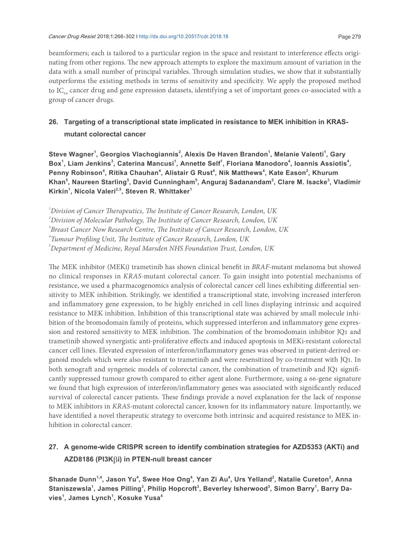beamformers; each is tailored to a particular region in the space and resistant to interference efects originating from other regions. The new approach attempts to explore the maximum amount of variation in the data with a small number of principal variables. Through simulation studies, we show that it substantially outperforms the existing methods in terms of sensitivity and speciicity. We apply the proposed method to IC<sub>50</sub> cancer drug and gene expression datasets, identifying a set of important genes co-associated with a group of cancer drugs.

### **26. Targeting of a transcriptional state implicated in resistance to MEK inhibition in KRAS mutant colorectal cancer**

**Steve Wagner<sup>1</sup> , Georgios Vlachogiannis<sup>2</sup> , Alexis De Haven Brandon<sup>1</sup> , Melanie Valenti<sup>1</sup> , Gary**  Box<sup>1</sup>, Liam Jenkins<sup>3</sup>, Caterina Mancusi<sup>1</sup>, Annette Self<sup>1</sup>, Floriana Manodoro<sup>4</sup>, Ioannis Assiotis<sup>4</sup>, **Penny Robinson<sup>4</sup> , Ritika Chauhan<sup>4</sup> , Alistair G Rust<sup>4</sup> , Nik Matthews<sup>4</sup> , Kate Eason<sup>2</sup> , Khurum Khan<sup>5</sup> , Naureen Starling<sup>5</sup> , David Cunningham<sup>5</sup> , Anguraj Sadanandam<sup>2</sup> , Clare M. Isacke<sup>3</sup> , Vladimir Kirkin<sup>1</sup> , Nicola Valeri2,5, Steven R. Whittaker<sup>1</sup>**

<sup>1</sup> Division of Cancer Therapeutics, The Institute of Cancer Research, London, UK

*5 Department of Medicine, Royal Marsden NHS Foundation Trust, London, UK*

he MEK inhibitor (MEKi) trametinib has shown clinical beneit in *BRAF*-mutant melanoma but showed no clinical responses in *KRAS*-mutant colorectal cancer. To gain insight into potential mechanisms of resistance, we used a pharmacogenomics analysis of colorectal cancer cell lines exhibiting diferential sensitivity to MEK inhibition. Strikingly, we identified a transcriptional state, involving increased interferon and inlammatory gene expression, to be highly enriched in cell lines displaying intrinsic and acquired resistance to MEK inhibition. Inhibition of this transcriptional state was achieved by small molecule inhibition of the bromodomain family of proteins, which suppressed interferon and inlammatory gene expression and restored sensitivity to MEK inhibition. The combination of the bromodomain inhibitor JQ1 and trametinib showed synergistic anti-proliferative efects and induced apoptosis in MEKi-resistant colorectal cancer cell lines. Elevated expression of interferon/inlammatory genes was observed in patient-derived organoid models which were also resistant to trametinib and were resensitized by co-treatment with JQ1. In both xenograft and syngeneic models of colorectal cancer, the combination of trametinib and JQ1 significantly suppressed tumour growth compared to either agent alone. Furthermore, using a 66-gene signature we found that high expression of interferon/inflammatory genes was associated with significantly reduced survival of colorectal cancer patients. These findings provide a novel explanation for the lack of response to MEK inhibitors in *KRAS*-mutant colorectal cancer, known for its inlammatory nature. Importantly, we have identified a novel therapeutic strategy to overcome both intrinsic and acquired resistance to MEK inhibition in colorectal cancer.

### **27. A genome-wide CRISPR screen to identify combination strategies for AZD5353 (AKTi) and AZD8186 (PI3K**β**i) in PTEN-null breast cancer**

**Shanade Dunn1,4, Jason Yu<sup>4</sup> , Swee Hoe Ong<sup>4</sup> , Yan Zi Au<sup>4</sup> , Urs Yelland<sup>2</sup> , Natalie Cureton<sup>2</sup> , Anna Staniszewsla<sup>1</sup> , James Pilling<sup>3</sup> , Philip Hopcroft<sup>3</sup> , Beverley Isherwood<sup>3</sup> , Simon Barry<sup>1</sup> , Barry Davies<sup>1</sup> , James Lynch<sup>1</sup> , Kosuke Yusa<sup>4</sup>**

*<sup>2</sup> Division of Molecular Pathology, he Institute of Cancer Research, London, UK*

*<sup>3</sup> Breast Cancer Now Research Centre, he Institute of Cancer Research, London, UK*

<sup>&</sup>lt;sup>4</sup> Tumour Profiling Unit, The Institute of Cancer Research, London, UK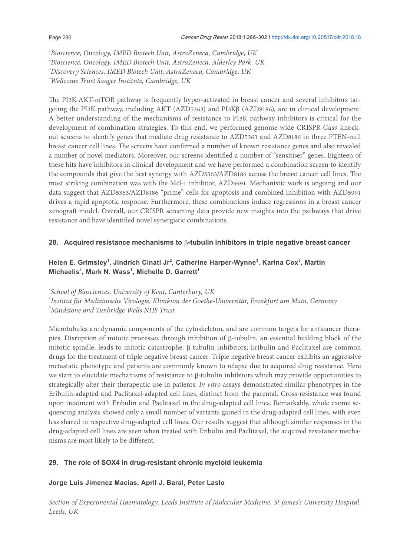*Bioscience, Oncology, IMED Biotech Unit, AstraZeneca, Cambridge, UK Bioscience, Oncology, IMED Biotech Unit, AstraZeneca, Alderley Park, UK Discovery Sciences, IMED Biotech Unit, AstraZeneca, Cambridge, UK Wellcome Trust Sanger Institute, Cambridge, UK*

he PI3K-AKT-mTOR pathway is frequently hyper-activated in breast cancer and several inhibitors targeting the PI3K pathway, including AKT (AZD5363) and PI3Kβ (AZD8186), are in clinical development. A better understanding of the mechanisms of resistance to PI3K pathway inhibitors is critical for the development of combination strategies. To this end, we performed genome-wide CRISPR-Cas9 knockout screens to identify genes that mediate drug resistance to AZD5363 and AZD8186 in three PTEN-null breast cancer cell lines. The screens have confirmed a number of known resistance genes and also revealed a number of novel mediators. Moreover, our screens identified a number of "sensitiser" genes. Eighteen of these hits have inhibitors in clinical development and we have performed a combination screen to identify the compounds that give the best synergy with AZD5363/AZD8186 across the breast cancer cell lines. The most striking combination was with the Mcl-1 inhibitor, AZD5991. Mechanistic work is ongoing and our data suggest that AZD5363/AZD8186 "prime" cells for apoptosis and combined inhibition with AZD5991 drives a rapid apoptotic response. Furthermore, these combinations induce regressions in a breast cancer xenograt model. Overall, our CRISPR screening data provide new insights into the pathways that drive resistance and have identified novel synergistic combinations.

### **28. Acquired resistance mechanisms to** β**-tubulin inhibitors in triple negative breast cancer**

### **Helen E. Grimsley<sup>1</sup> , Jindrich Cinatl Jr<sup>2</sup> , Catherine Harper-Wynne<sup>3</sup> , Karina Cox<sup>3</sup> , Martin Michaelis<sup>1</sup> , Mark N. Wass<sup>1</sup> , Michelle D. Garrett<sup>1</sup>**

*1 School of Biosciences, University of Kent, Canterbury, UK*

*2 Institut für Medizinische Virologie, Klinikum der Goethe-Universität, Frankfurt am Main, Germany <sup>3</sup>Maidstone and Tunbridge Wells NHS Trust*

Microtubules are dynamic components of the cytoskeleton, and are common targets for anticancer therapies. Disruption of mitotic processes through inhibition of β-tubulin, an essential building block of the mitotic spindle, leads to mitotic catastrophe. β-tubulin inhibitors; Eribulin and Paclitaxel are common drugs for the treatment of triple negative breast cancer. Triple negative breast cancer exhibits an aggressive metastatic phenotype and patients are commonly known to relapse due to acquired drug resistance. Here we start to elucidate mechanisms of resistance to β-tubulin inhibitors which may provide opportunities to strategically alter their therapeutic use in patients. *In vitro* assays demonstrated similar phenotypes in the Eribulin-adapted and Paclitaxel-adapted cell lines, distinct from the parental. Cross-resistance was found upon treatment with Eribulin and Paclitaxel in the drug-adapted cell lines. Remarkably, whole exome sequencing analysis showed only a small number of variants gained in the drug-adapted cell lines, with even less shared in respective drug-adapted cell lines. Our results suggest that although similar responses in the drug-adapted cell lines are seen when treated with Eribulin and Paclitaxel, the acquired resistance mechanisms are most likely to be diferent.

### **29. The role of SOX4 in drug-resistant chronic myeloid leukemia**

### **Jorge Luis Jimenez Macias, April J. Baral, Peter Laslo**

*Section of Experimental Haematology, Leeds Institute of Molecular Medicine, St James's University Hospital, Leeds, UK*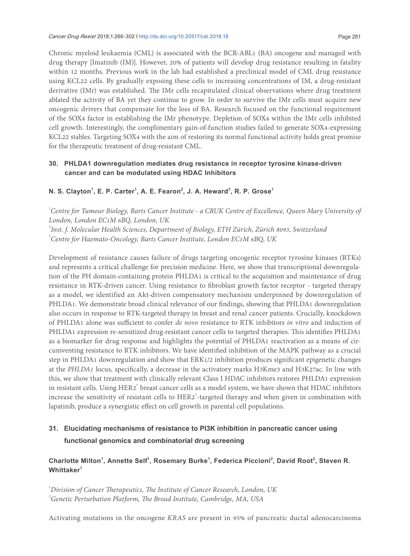Chronic myeloid leukaemia (CML) is associated with the BCR-ABL1 (BA) oncogene and managed with drug therapy [Imatinib (IM)]. However, 20% of patients will develop drug resistance resulting in fatality within 12 months. Previous work in the lab had established a preclinical model of CML drug resistance using KCL22 cells. By gradually exposing these cells to increasing concentrations of IM, a drug-resistant derivative (IMr) was established. The IMr cells recapitulated clinical observations where drug treatment ablated the activity of BA yet they continue to grow. In order to survive the IMr cells must acquire new oncogenic drivers that compensate for the loss of BA. Research focused on the functional requirement of the SOX4 factor in establishing the IMr phenotype. Depletion of SOX4 within the IMr cells inhibited cell growth. Interestingly, the complimentary gain-of-function studies failed to generate SOX4-expressing KCL22 stables. Targeting SOX4 with the aim of restoring its normal functional activity holds great promise for the therapeutic treatment of drug-resistant CML.

### **30. PHLDA1 downregulation mediates drug resistance in receptor tyrosine kinase-driven cancer and can be modulated using HDAC Inhibitors**

### **N. S. Clayton<sup>1</sup> , E. P. Carter<sup>1</sup> , A. E. Fearon<sup>2</sup> , J. A. Heward<sup>3</sup> , R. P. Grose<sup>1</sup>**

 *Centre for Tumour Biology, Barts Cancer Institute - a CRUK Centre of Excellence, Queen Mary University of London, London EC1M 6BQ, London, UK Inst. f. Molecular Health Sciences, Department of Biology, ETH Zürich, Zürich 8093, Switzerland Centre for Haemato-Oncology, Barts Cancer Institute, London EC1M 6BQ, UK*

Development of resistance causes failure of drugs targeting oncogenic receptor tyrosine kinases (RTKs) and represents a critical challenge for precision medicine. Here, we show that transcriptional downregulation of the PH domain-containing protein PHLDA1 is critical to the acquisition and maintenance of drug resistance in RTK-driven cancer. Using resistance to ibroblast growth factor receptor - targeted therapy as a model, we identified an Akt-driven compensatory mechanism underpinned by downregulation of PHLDA1. We demonstrate broad clinical relevance of our findings, showing that PHLDA1 downregulation also occurs in response to RTK-targeted therapy in breast and renal cancer patients. Crucially, knockdown of PHLDA1 alone was suicient to confer *de novo* resistance to RTK inhibitors *in vitro* and induction of PHLDA1 expression re-sensitized drug-resistant cancer cells to targeted therapies. This identifies PHLDA1 as a biomarker for drug response and highlights the potential of PHLDA1 reactivation as a means of circumventing resistance to RTK inhibitors. We have identiied inhibition of the MAPK pathway as a crucial step in PHLDA1 downregulation and show that ERK1/2 inhibition produces significant epigenetic changes at the PHLDA1 locus, specifically, a decrease in the activatory marks H3Kme3 and H3K27ac. In line with this, we show that treatment with clinically relevant Class I HDAC inhibitors restores PHLDA1 expression in resistant cells. Using HER2<sup>+</sup> breast cancer cells as a model system, we have shown that HDAC inhibitors increase the sensitivity of resistant cells to HER2<sup>+</sup>-targeted therapy and when given in combination with lapatinib, produce a synergistic efect on cell growth in parental cell populations.

### **31. Elucidating mechanisms of resistance to PI3K inhibition in pancreatic cancer using functional genomics and combinatorial drug screening**

### **Charlotte Milton<sup>1</sup> , Annette Self<sup>1</sup> , Rosemary Burke<sup>1</sup> , Federica Piccioni<sup>2</sup> , David Root<sup>2</sup> , Steven R. Whittaker<sup>1</sup>**

<sup>1</sup> Division of Cancer Therapeutics, The Institute of Cancer Research, London, UK <sup>2</sup> Genetic Perturbation Platform, The Broad Institute, Cambridge, MA, USA

Activating mutations in the oncogene *KRAS* are present in 95% of pancreatic ductal adenocarcinoma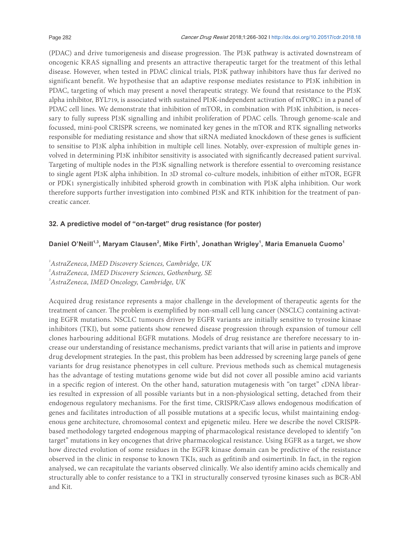(PDAC) and drive tumorigenesis and disease progression. The PI3K pathway is activated downstream of oncogenic KRAS signalling and presents an attractive therapeutic target for the treatment of this lethal disease. However, when tested in PDAC clinical trials, PI3K pathway inhibitors have thus far derived no significant benefit. We hypothesise that an adaptive response mediates resistance to PI3K inhibition in PDAC, targeting of which may present a novel therapeutic strategy. We found that resistance to the PI3K alpha inhibitor, BYL719, is associated with sustained PI3K-independent activation of mTORC1 in a panel of PDAC cell lines. We demonstrate that inhibition of mTOR, in combination with PI3K inhibition, is necessary to fully supress PI3K signalling and inhibit proliferation of PDAC cells. Through genome-scale and focussed, mini-pool CRISPR screens, we nominated key genes in the mTOR and RTK signalling networks responsible for mediating resistance and show that siRNA mediated knockdown of these genes is sufficient to sensitise to PI3K alpha inhibition in multiple cell lines. Notably, over-expression of multiple genes involved in determining PI3K inhibitor sensitivity is associated with significantly decreased patient survival. Targeting of multiple nodes in the PI3K signalling network is therefore essential to overcoming resistance to single agent PI3K alpha inhibition. In 3D stromal co-culture models, inhibition of either mTOR, EGFR or PDK1 synergistically inhibited spheroid growth in combination with PI3K alpha inhibition. Our work therefore supports further investigation into combined PI3K and RTK inhibition for the treatment of pancreatic cancer.

### **32. A predictive model of "on-target" drug resistance (for poster)**

### **Daniel O'Neill1,3, Maryam Clausen<sup>2</sup> , Mike Firth<sup>1</sup> , Jonathan Wrigley<sup>1</sup> , Maria Emanuela Cuomo<sup>1</sup>**

*1 AstraZeneca,IMED Discovery Sciences, Cambridge, UK 2 AstraZeneca, IMED Discovery Sciences, Gothenburg, SE 3 AstraZeneca, IMED Oncology, Cambridge, UK*

Acquired drug resistance represents a major challenge in the development of therapeutic agents for the treatment of cancer. The problem is exemplified by non-small cell lung cancer (NSCLC) containing activating EGFR mutations. NSCLC tumours driven by EGFR variants are initially sensitive to tyrosine kinase inhibitors (TKI), but some patients show renewed disease progression through expansion of tumour cell clones harbouring additional EGFR mutations. Models of drug resistance are therefore necessary to increase our understanding of resistance mechanisms, predict variants that will arise in patients and improve drug development strategies. In the past, this problem has been addressed by screening large panels of gene variants for drug resistance phenotypes in cell culture. Previous methods such as chemical mutagenesis has the advantage of testing mutations genome wide but did not cover all possible amino acid variants in a speciic region of interest. On the other hand, saturation mutagenesis with "on target" cDNA libraries resulted in expression of all possible variants but in a non-physiological setting, detached from their endogenous regulatory mechanisms. For the first time, CRISPR/Cas9 allows endogenous modification of genes and facilitates introduction of all possible mutations at a speciic locus, whilst maintaining endogenous gene architecture, chromosomal context and epigenetic mileu. Here we describe the novel CRISPRbased methodology targeted endogenous mapping of pharmacological resistance developed to identify "on target" mutations in key oncogenes that drive pharmacological resistance. Using EGFR as a target, we show how directed evolution of some residues in the EGFR kinase domain can be predictive of the resistance observed in the clinic in response to known TKIs, such as geitinib and osimertinib. In fact, in the region analysed, we can recapitulate the variants observed clinically. We also identify amino acids chemically and structurally able to confer resistance to a TKI in structurally conserved tyrosine kinases such as BCR-Abl and Kit.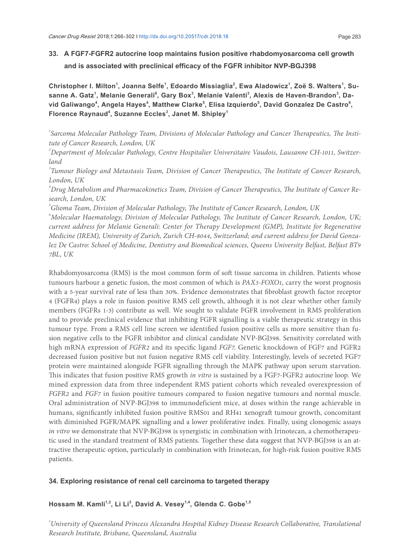### **33. A FGF7-FGFR2 autocrine loop maintains fusion positive rhabdomyosarcoma cell growth and is associated with preclinical efficacy of the FGFR inhibitor NVP-BGJ398**

**Christopher I. Milton<sup>1</sup> , Joanna Selfe<sup>1</sup> , Edoardo Missiaglia<sup>2</sup> , Ewa Aladowicz<sup>1</sup> , Zoë S. Walters<sup>1</sup> , Su-** $\boldsymbol{\mathsf{s}}$ anne A. Gatz<sup>1</sup>, Melanie Generali $^{\mathsf{6}}$ , Gary Box $^{\mathsf{3}}$ , Melanie Valenti $^{\mathsf{3}}$ , Alexis de Haven-Brandon $^{\mathsf{3}}$ , David Galiwango<sup>4</sup>, Angela Hayes<sup>4</sup>, Matthew Clarke<sup>5</sup>, Elisa Izquierdo<sup>5</sup>, David Gonzalez De Castro<sup>6</sup>, **Florence Raynaud<sup>4</sup> , Suzanne Eccles<sup>3</sup> , Janet M. Shipley<sup>1</sup>**

<sup>1</sup>Sarcoma Molecular Pathology Team, Divisions of Molecular Pathology and Cancer Therapeutics, The Insti*tute of Cancer Research, London, UK*

*2 Department of Molecular Pathology, Centre Hospitalier Universitaire Vaudois, Lausanne CH-1011, Switzerland*

<sup>3</sup> Tumour Biology and Metastasis Team, Division of Cancer Therapeutics, The Institute of Cancer Research, *London, UK*

<sup>4</sup> Drug Metabolism and Pharmacokinetics Team, Division of Cancer Therapeutics, The Institute of Cancer Re*search, London, UK*

 $^{\circ}$ Glioma Team, Division of Molecular Pathology, The Institute of Cancer Research, London, UK

<sup>6</sup>Molecular Haematology, Division of Molecular Pathology, The Institute of Cancer Research, London, UK; *current address for Melanie Generali: Center for Therapy Development (GMP), Institute for Regenerative Medicine (IREM), University of Zurich, Zurich CH-8044, Switzerland; and current address for David Gonzalez De Castro: School of Medicine, Dentistry and Biomedical sciences, Queens University Belfast, Belfast BT9 7BL, UK*

Rhabdomyosarcoma (RMS) is the most common form of soft tissue sarcoma in children. Patients whose tumours harbour a genetic fusion, the most common of which is *PAX3*-*FOXO1*, carry the worst prognosis with a 5-year survival rate of less than 30%. Evidence demonstrates that ibroblast growth factor receptor 4 (FGFR4) plays a role in fusion positive RMS cell growth, although it is not clear whether other family members (FGFRs 1-3) contribute as well. We sought to validate FGFR involvement in RMS proliferation and to provide preclinical evidence that inhibiting FGFR signalling is a viable therapeutic strategy in this tumour type. From a RMS cell line screen we identified fusion positive cells as more sensitive than fusion negative cells to the FGFR inhibitor and clinical candidate NVP-BGJ398. Sensitivity correlated with high mRNA expression of *FGFR2* and its specific ligand *FGF7*. Genetic knockdown of FGF7 and FGFR2 decreased fusion positive but not fusion negative RMS cell viability. Interestingly, levels of secreted FGF7 protein were maintained alongside FGFR signalling through the MAPK pathway upon serum starvation. his indicates that fusion positive RMS growth *in vitro* is sustained by a FGF7-FGFR2 autocrine loop. We mined expression data from three independent RMS patient cohorts which revealed overexpression of *FGFR2* and *FGF7* in fusion positive tumours compared to fusion negative tumours and normal muscle. Oral administration of NVP-BGJ398 to immunodeficient mice, at doses within the range achievable in humans, significantly inhibited fusion positive RMS01 and RH41 xenograft tumour growth, concomitant with diminished FGFR/MAPK signalling and a lower proliferative index. Finally, using clonogenic assays *in vitro* we demonstrate that NVP-BGJ398 is synergistic in combination with Irinotecan, a chemotherapeutic used in the standard treatment of RMS patients. Together these data suggest that NVP-BGJ398 is an attractive therapeutic option, particularly in combination with Irinotecan, for high-risk fusion positive RMS patients.

### **34. Exploring resistance of renal cell carcinoma to targeted therapy**

**Hossam M. Kamli1,2, Li Li<sup>3</sup> , David A. Vesey1,4, Glenda C. Gobe1,5**

*1 University of Queensland Princess Alexandra Hospital Kidney Disease Research Collaborative, Translational Research Institute, Brisbane, Queensland, Australia*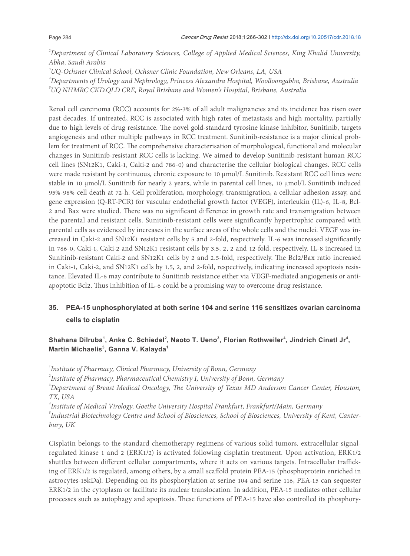*2 Department of Clinical Laboratory Sciences, College of Applied Medical Sciences, King Khalid University, Abha, Saudi Arabia*

*3 UQ-Ochsner Clinical School, Ochsner Clinic Foundation, New Orleans, LA, USA*

*4 Departments of Urology and Nephrology, Princess Alexandra Hospital, Woolloongabba, Brisbane, Australia 5 UQ NHMRC CKD.QLD CRE, Royal Brisbane and Women's Hospital, Brisbane, Australia*

Renal cell carcinoma (RCC) accounts for 2%-3% of all adult malignancies and its incidence has risen over past decades. If untreated, RCC is associated with high rates of metastasis and high mortality, partially due to high levels of drug resistance. The novel gold-standard tyrosine kinase inhibitor, Sunitinib, targets angiogenesis and other multiple pathways in RCC treatment. Sunitinib-resistance is a major clinical problem for treatment of RCC. The comprehensive characterisation of morphological, functional and molecular changes in Sunitinib-resistant RCC cells is lacking. We aimed to develop Sunitinib-resistant human RCC cell lines (SN12K1, Caki-1, Caki-2 and 786-0) and characterise the cellular biological changes. RCC cells were made resistant by continuous, chronic exposure to 10 µmol/L Sunitinib. Resistant RCC cell lines were stable in 10  $\mu$ mol/L Sunitinib for nearly 2 years, while in parental cell lines, 10  $\mu$ mol/L Sunitinib induced 95%-98% cell death at 72-h. Cell proliferation, morphology, transmigration, a cellular adhesion assay, and gene expression (Q-RT-PCR) for vascular endothelial growth factor (VEGF), interleukin (IL)-6, IL-8, Bcl-2 and Bax were studied. There was no significant difference in growth rate and transmigration between the parental and resistant cells. Sunitinib-resistant cells were significantly hypertrophic compared with parental cells as evidenced by increases in the surface areas of the whole cells and the nuclei. VEGF was increased in Caki-2 and SN12K1 resistant cells by 5 and 2-fold, respectively. IL-6 was increased significantly in 786-0, Caki-1, Caki-2 and SN12K1 resistant cells by 3.5, 2, 2 and 12-fold, respectively. IL-8 increased in Sunitinib-resistant Caki-2 and SN12K1 cells by 2 and 2.5-fold, respectively. he Bcl2/Bax ratio increased in Caki-1, Caki-2, and SN12K1 cells by 1.5, 2, and 2-fold, respectively, indicating increased apoptosis resistance. Elevated IL-6 may contribute to Sunitinib resistance either via VEGF-mediated angiogenesis or antiapoptotic Bcl2. Thus inhibition of IL-6 could be a promising way to overcome drug resistance.

### **35. PEA-15 unphosphorylated at both serine 104 and serine 116 sensitizes ovarian carcinoma cells to cisplatin**

### Shahana Dilruba<sup>1</sup>, Anke C. Schiedel<sup>2</sup>, Naoto T. Ueno<sup>3</sup>, Florian Rothweiler<sup>4</sup>, Jindrich Cinatl Jr<sup>4</sup>, **Martin Michaelis<sup>5</sup> , Ganna V. Kalayda<sup>1</sup>**

*1 Institute of Pharmacy, Clinical Pharmacy, University of Bonn, Germany*

*2 Institute of Pharmacy, Pharmaceutical Chemistry I, University of Bonn, Germany*

<sup>3</sup> Department of Breast Medical Oncology, The University of Texas MD Anderson Cancer Center, Houston, *TX, USA*

*4 Institute of Medical Virology, Goethe University Hospital Frankfurt, Frankfurt/Main, Germany*

*5 Industrial Biotechnology Centre and School of Biosciences, School of Biosciences, University of Kent, Canterbury, UK*

Cisplatin belongs to the standard chemotherapy regimens of various solid tumors. extracellular signalregulated kinase 1 and 2 (ERK1/2) is activated following cisplatin treatment. Upon activation, ERK1/2 shuttles between diferent cellular compartments, where it acts on various targets. Intracellular traicking of ERK1/2 is regulated, among others, by a small scafold protein PEA-15 (phosphoprotein enriched in astrocytes-15kDa). Depending on its phosphorylation at serine 104 and serine 116, PEA-15 can sequester ERK1/2 in the cytoplasm or facilitate its nuclear translocation. In addition, PEA-15 mediates other cellular processes such as autophagy and apoptosis. These functions of PEA-15 have also controlled its phosphory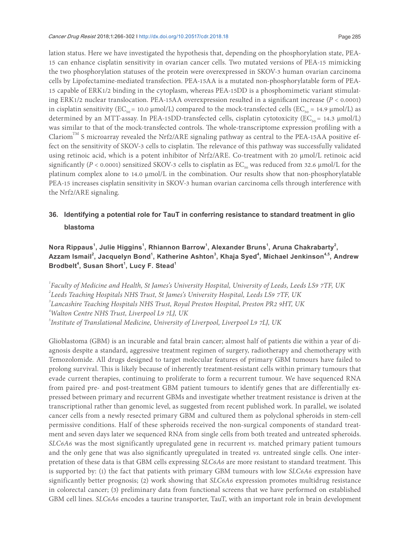Cancer Drug Resist 2018;1:266-302 I http://dx.doi.org/10.20517/cdr.2018.18 Page 285

lation status. Here we have investigated the hypothesis that, depending on the phosphorylation state, PEA-15 can enhance cisplatin sensitivity in ovarian cancer cells. Two mutated versions of PEA-15 mimicking the two phosphorylation statuses of the protein were overexpressed in SKOV-3 human ovarian carcinoma cells by Lipofectamine-mediated transfection. PEA-15AA is a mutated non-phosphorylatable form of PEA-15 capable of ERK1/2 binding in the cytoplasm, whereas PEA-15DD is a phosphomimetic variant stimulating ERK1/2 nuclear translocation. PEA-15AA overexpression resulted in a significant increase (*P* < 0.0001) in cisplatin sensitivity (EC<sub>50</sub> = 10.0 µmol/L) compared to the mock-transfected cells (EC<sub>50</sub> = 14.9 µmol/L) as determined by an MTT-assay. In PEA-15DD-transfected cells, cisplatin cytotoxicity ( $EC_{50} = 14.3 \mu \text{mol/L}$ ) was similar to that of the mock-transfected controls. The whole-transcriptome expression profiling with a Clariom<sup>TM</sup> S microarray revealed the Nrf2/ARE signaling pathway as central to the PEA-15AA positive effect on the sensitivity of SKOV-3 cells to cisplatin. The relevance of this pathway was successfully validated using retinoic acid, which is a potent inhibitor of Nrf2/ARE. Co-treatment with 20 µmol/L retinoic acid significantly ( $P < 0.0001$ ) sensitized SKOV-3 cells to cisplatin as EC<sub>50</sub> was reduced from 32.6 µmol/L for the platinum complex alone to 14.0 µmol/L in the combination. Our results show that non-phosphorylatable PEA-15 increases cisplatin sensitivity in SKOV-3 human ovarian carcinoma cells through interference with the Nrf2/ARE signaling.

### **36. Identifying a potential role for TauT in conferring resistance to standard treatment in glio blastoma**

**Nora Rippaus<sup>1</sup> , Julie Higgins<sup>1</sup> , Rhiannon Barrow<sup>1</sup> , Alexander Bruns<sup>1</sup> , Aruna Chakrabarty<sup>2</sup> , Azzam Ismail<sup>2</sup> , Jacquelyn Bond<sup>1</sup> , Katherine Ashton<sup>3</sup> , Khaja Syed<sup>4</sup> , Michael Jenkinson4,5, Andrew Brodbelt<sup>4</sup> , Susan Short<sup>1</sup> , Lucy F. Stead<sup>1</sup>**

 *Faculty of Medicine and Health, St James's University Hospital, University of Leeds, Leeds LS9 7TF, UK Leeds Teaching Hospitals NHS Trust, St James's University Hospital, Leeds LS9 7TF, UK Lancashire Teaching Hospitals NHS Trust, Royal Preston Hospital, Preston PR2 9HT, UK Walton Centre NHS Trust, Liverpool L9 7LJ, UK Institute of Translational Medicine, University of Liverpool, Liverpool L9 7LJ, UK*

Glioblastoma (GBM) is an incurable and fatal brain cancer; almost half of patients die within a year of diagnosis despite a standard, aggressive treatment regimen of surgery, radiotherapy and chemotherapy with Temozolomide. All drugs designed to target molecular features of primary GBM tumours have failed to prolong survival. his is likely because of inherently treatment-resistant cells within primary tumours that evade current therapies, continuing to proliferate to form a recurrent tumour. We have sequenced RNA from paired pre- and post-treatment GBM patient tumours to identify genes that are differentially expressed between primary and recurrent GBMs and investigate whether treatment resistance is driven at the transcriptional rather than genomic level, as suggested from recent published work. In parallel, we isolated cancer cells from a newly resected primary GBM and cultured them as polyclonal spheroids in stem-cell permissive conditions. Half of these spheroids received the non-surgical components of standard treatment and seven days later we sequenced RNA from single cells from both treated and untreated spheroids. *SLC6A6* was the most significantly upregulated gene in recurrent *vs.* matched primary patient tumours and the only gene that was also significantly upregulated in treated *vs.* untreated single cells. One interpretation of these data is that GBM cells expressing *SLC6A6* are more resistant to standard treatment. his is supported by: (1) the fact that patients with primary GBM tumours with low *SLC6A6* expression have significantly better prognosis; (2) work showing that *SLC6A6* expression promotes multidrug resistance in colorectal cancer; (3) preliminary data from functional screens that we have performed on established GBM cell lines. *SLC6A6* encodes a taurine transporter, TauT, with an important role in brain development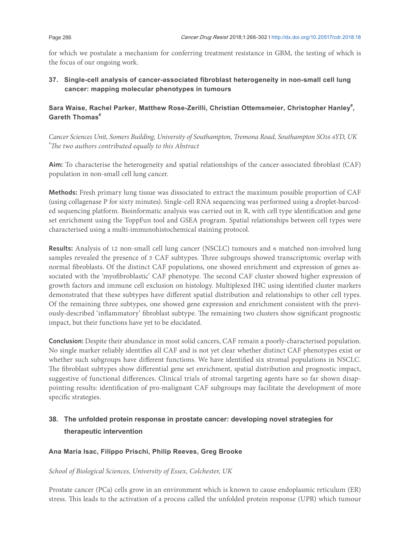for which we postulate a mechanism for conferring treatment resistance in GBM, the testing of which is the focus of our ongoing work.

### **37. Single-cell analysis of cancer-associated fibroblast heterogeneity in non-small cell lung cancer: mapping molecular phenotypes in tumours**

### Sara Waise, Rachel Parker, Matthew Rose-Zerilli, Christian Ottemsmeier, Christopher Hanley<sup>#</sup>, **Gareth Thomas#**

*Cancer Sciences Unit, Somers Building, University of Southampton, Tremona Road, Southampton SO16 6YD, UK #he two authors contributed equally to this Abstract*

**Aim:** To characterise the heterogeneity and spatial relationships of the cancer-associated ibroblast (CAF) population in non-small cell lung cancer.

**Methods:** Fresh primary lung tissue was dissociated to extract the maximum possible proportion of CAF (using collagenase P for sixty minutes). Single-cell RNA sequencing was performed using a droplet-barcoded sequencing platform. Bioinformatic analysis was carried out in R, with cell type identiication and gene set enrichment using the ToppFun tool and GSEA program. Spatial relationships between cell types were characterised using a multi-immunohistochemical staining protocol.

**Results:** Analysis of 12 non-small cell lung cancer (NSCLC) tumours and 6 matched non-involved lung samples revealed the presence of 5 CAF subtypes. Three subgroups showed transcriptomic overlap with normal ibroblasts. Of the distinct CAF populations, one showed enrichment and expression of genes associated with the 'myofibroblastic' CAF phenotype. The second CAF cluster showed higher expression of growth factors and immune cell exclusion on histology. Multiplexed IHC using identified cluster markers demonstrated that these subtypes have diferent spatial distribution and relationships to other cell types. Of the remaining three subtypes, one showed gene expression and enrichment consistent with the previously-described 'inflammatory' fibroblast subtype. The remaining two clusters show significant prognostic impact, but their functions have yet to be elucidated.

**Conclusion:** Despite their abundance in most solid cancers, CAF remain a poorly-characterised population. No single marker reliably identifies all CAF and is not yet clear whether distinct CAF phenotypes exist or whether such subgroups have different functions. We have identified six stromal populations in NSCLC. The fibroblast subtypes show differential gene set enrichment, spatial distribution and prognostic impact, suggestive of functional diferences. Clinical trials of stromal targeting agents have so far shown disappointing results: identification of pro-malignant CAF subgroups may facilitate the development of more specific strategies.

### **38. The unfolded protein response in prostate cancer: developing novel strategies for therapeutic intervention**

### **Ana Maria Isac, Filippo Prischi, Philip Reeves, Greg Brooke**

### *School of Biological Sciences, University of Essex, Colchester, UK*

Prostate cancer (PCa) cells grow in an environment which is known to cause endoplasmic reticulum (ER) stress. his leads to the activation of a process called the unfolded protein response (UPR) which tumour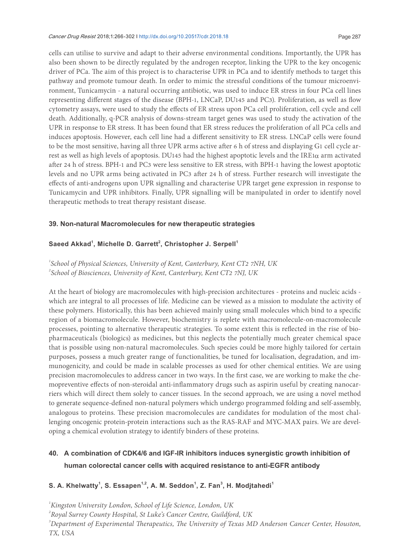#### Cancer Drug Resist 2018;1:266-302 I http://dx.doi.org/10.20517/cdr.2018.18 Page 287

cells can utilise to survive and adapt to their adverse environmental conditions. Importantly, the UPR has also been shown to be directly regulated by the androgen receptor, linking the UPR to the key oncogenic driver of PCa. The aim of this project is to characterise UPR in PCa and to identify methods to target this pathway and promote tumour death. In order to mimic the stressful conditions of the tumour microenvironment, Tunicamycin - a natural occurring antibiotic, was used to induce ER stress in four PCa cell lines representing diferent stages of the disease (BPH-1, LNCaP, DU145 and PC3). Proliferation, as well as low cytometry assays, were used to study the efects of ER stress upon PCa cell proliferation, cell cycle and cell death. Additionally, q-PCR analysis of downs-stream target genes was used to study the activation of the UPR in response to ER stress. It has been found that ER stress reduces the proliferation of all PCa cells and induces apoptosis. However, each cell line had a diferent sensitivity to ER stress. LNCaP cells were found to be the most sensitive, having all three UPR arms active ater 6 h of stress and displaying G1 cell cycle arrest as well as high levels of apoptosis. DU145 had the highest apoptotic levels and the IRE1α arm activated ater 24 h of stress. BPH-1 and PC3 were less sensitive to ER stress, with BPH-1 having the lowest apoptotic levels and no UPR arms being activated in PC3 ater 24 h of stress. Further research will investigate the efects of anti-androgens upon UPR signalling and characterise UPR target gene expression in response to Tunicamycin and UPR inhibitors. Finally, UPR signalling will be manipulated in order to identify novel therapeutic methods to treat therapy resistant disease.

### **39. Non-natural Macromolecules for new therapeutic strategies**

### **Saeed Akkad<sup>1</sup> , Michelle D. Garrett<sup>2</sup> , Christopher J. Serpell<sup>1</sup>**

### *1 School of Physical Sciences, University of Kent, Canterbury, Kent CT2 7NH, UK 2 School of Biosciences, University of Kent, Canterbury, Kent CT2 7NJ, UK*

At the heart of biology are macromolecules with high-precision architectures - proteins and nucleic acids which are integral to all processes of life. Medicine can be viewed as a mission to modulate the activity of these polymers. Historically, this has been achieved mainly using small molecules which bind to a speciic region of a biomacromolecule. However, biochemistry is replete with macromolecule-on-macromolecule processes, pointing to alternative therapeutic strategies. To some extent this is relected in the rise of biopharmaceuticals (biologics) as medicines, but this neglects the potentially much greater chemical space that is possible using non-natural macromolecules. Such species could be more highly tailored for certain purposes, possess a much greater range of functionalities, be tuned for localisation, degradation, and immunogenicity, and could be made in scalable processes as used for other chemical entities. We are using precision macromolecules to address cancer in two ways. In the irst case, we are working to make the chemopreventive efects of non-steroidal anti-inlammatory drugs such as aspirin useful by creating nanocarriers which will direct them solely to cancer tissues. In the second approach, we are using a novel method to generate sequence-deined non-natural polymers which undergo programmed folding and self-assembly, analogous to proteins. hese precision macromolecules are candidates for modulation of the most challenging oncogenic protein-protein interactions such as the RAS-RAF and MYC-MAX pairs. We are developing a chemical evolution strategy to identify binders of these proteins.

### **40. A combination of CDK4/6 and IGF-IR inhibitors induces synergistic growth inhibition of human colorectal cancer cells with acquired resistance to anti-EGFR antibody**

### **S. A. Khelwatty<sup>1</sup> , S. Essapen1,2, A. M. Seddon<sup>1</sup> , Z. Fan<sup>3</sup> , H. Modjtahedi<sup>1</sup>**

*1 Kingston University London, School of Life Science, London, UK 2 Royal Surrey County Hospital, St Luke's Cancer Centre, Guildford, UK* <sup>3</sup> Department of Experimental Therapeutics, The University of Texas MD Anderson Cancer Center, Houston, *TX, USA*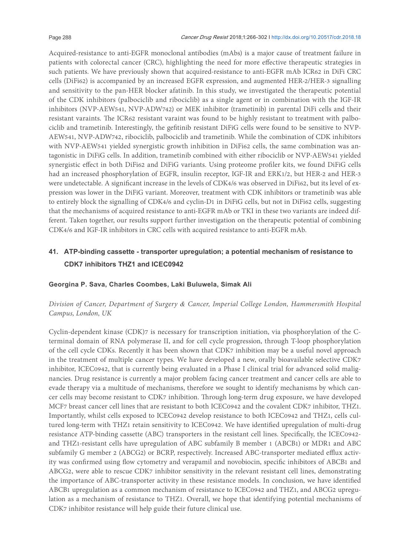Acquired-resistance to anti-EGFR monoclonal antibodies (mAbs) is a major cause of treatment failure in patients with colorectal cancer (CRC), highlighting the need for more efective therapeutic strategies in such patients. We have previously shown that acquired-resistance to anti-EGFR mAb ICR62 in DiFi CRC cells (DiFi62) is accompanied by an increased EGFR expression, and augmented HER-2/HER-3 signalling and sensitivity to the pan-HER blocker afatinib. In this study, we investigated the therapeutic potential of the CDK inhibitors (palbociclib and ribociclib) as a single agent or in combination with the IGF-IR inhibitors (NVP-AEW541, NVP-ADW742) or MEK inhibitor (trametinib) in parental DiFi cells and their resistant varaints. he ICR62 resistant varaint was found to be highly resistant to treatment with palbociclib and trametinib. Interestingly, the gefitinib resistant DiFiG cells were found to be sensitive to NVP-AEW541, NVP-ADW742, ribociclib, palbociclib and trametinib. While the combination of CDK inhibitors with NVP-AEW541 yielded synergistic growth inhibition in DiFi62 cells, the same combination was antagonistic in DiFiG cells. In addition, trametinib combined with either ribociclib or NVP-AEW541 yielded synergistic effect in both DiFi62 and DiFiG variants. Using proteome profiler kits, we found DiFiG cells had an increased phosphorylation of EGFR, insulin receptor, IGF-IR and ERK1/2, but HER-2 and HER-3 were undetectable. A significant increase in the levels of CDK4/6 was observed in DiFi62, but its level of expression was lower in the DiFiG variant. Moreover, treatment with CDK inhibitors or trametinib was able to entirely block the signalling of CDK4/6 and cyclin-D1 in DiFiG cells, but not in DiFi62 cells, suggesting that the mechanisms of acquired resistance to anti-EGFR mAb or TKI in these two variants are indeed different. Taken together, our results support further investigation on the therapeutic potential of combining CDK4/6 and IGF-IR inhibitors in CRC cells with acquired resistance to anti-EGFR mAb.

### **41. ATP-binding cassette - transporter upregulation; a potential mechanism of resistance to CDK7 inhibitors THZ1 and ICEC0942**

### **Georgina P. Sava, Charles Coombes, Laki Buluwela, Simak Ali**

### *Division of Cancer, Department of Surgery & Cancer, Imperial College London, Hammersmith Hospital Campus, London, UK*

Cyclin-dependent kinase (CDK)7 is necessary for transcription initiation, via phosphorylation of the Cterminal domain of RNA polymerase II, and for cell cycle progression, through T-loop phosphorylation of the cell cycle CDKs. Recently it has been shown that CDK7 inhibition may be a useful novel approach in the treatment of multiple cancer types. We have developed a new, orally bioavailable selective CDK7 inhibitor, ICEC0942, that is currently being evaluated in a Phase I clinical trial for advanced solid malignancies. Drug resistance is currently a major problem facing cancer treatment and cancer cells are able to evade therapy via a multitude of mechanisms, therefore we sought to identify mechanisms by which cancer cells may become resistant to CDK7 inhibition. Through long-term drug exposure, we have developed MCF7 breast cancer cell lines that are resistant to both ICEC0942 and the covalent CDK7 inhibitor, THZ1. Importantly, whilst cells exposed to ICEC0942 develop resistance to both ICEC0942 and THZ1, cells cultured long-term with THZ1 retain sensitivity to ICEC0942. We have identiied upregulation of multi-drug resistance ATP-binding cassette (ABC) transporters in the resistant cell lines. Specifically, the ICEC0942and THZ1-resistant cells have upregulation of ABC subfamily B member 1 (ABCB1) or MDR1 and ABC subfamily G member 2 (ABCG2) or BCRP, respectively. Increased ABC-transporter mediated efflux activity was confirmed using flow cytometry and verapamil and novobiocin, specific inhibitors of ABCB1 and ABCG2, were able to rescue CDK7 inhibitor sensitivity in the relevant resistant cell lines, demonstrating the importance of ABC-transporter activity in these resistance models. In conclusion, we have identiied ABCB1 upregulation as a common mechanism of resistance to ICEC0942 and THZ1, and ABCG2 upregulation as a mechanism of resistance to THZ1. Overall, we hope that identifying potential mechanisms of CDK7 inhibitor resistance will help guide their future clinical use.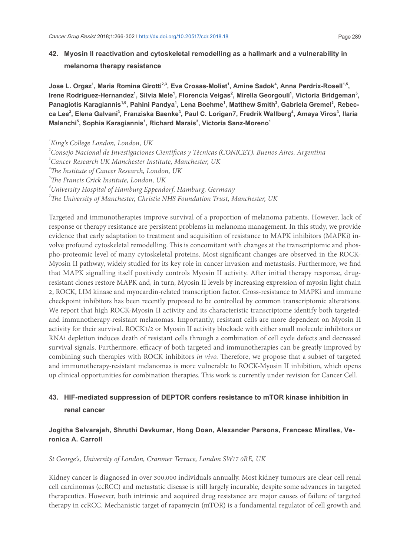### **42. Myosin II reactivation and cytoskeletal remodelling as a hallmark and a vulnerability in melanoma therapy resistance**

**Jose L. Orgaz<sup>1</sup> , Maria Romina Girotti2,3, Eva Crosas-Molist<sup>1</sup> , Amine Sadok<sup>4</sup> , Anna Perdrix-Rosell1,5 , Irene Rodriguez-Hernandez<sup>1</sup> , Silvia Mele<sup>1</sup> , Florencia Veigas<sup>2</sup> , Mirella Georgouli<sup>1</sup> , Victoria Bridgeman<sup>5</sup> , Panagiotis Karagiannis1,6, Pahini Pandya<sup>1</sup> , Lena Boehme<sup>1</sup> , Matthew Smith<sup>3</sup> , Gabriela Gremel<sup>3</sup> , Rebecca Lee<sup>3</sup> , Elena Galvani<sup>3</sup> , Franziska Baenke<sup>3</sup> , Paul C. Lorigan7, Fredrik Wallberg<sup>4</sup> , Amaya Viros<sup>3</sup> , Ilaria Malanchi<sup>5</sup> , Sophia Karagiannis<sup>1</sup> , Richard Marais<sup>3</sup> , Victoria Sanz-Moreno<sup>1</sup>**

*1 King's College London, London, UK*

- *2 Consejo Nacional de Investigaciones Cientíicas y Técnicas (CONICET), Buenos Aires, Argentina*
- *3 Cancer Research UK Manchester Institute, Manchester, UK*
- *<sup>4</sup>he Institute of Cancer Research, London, UK*
- *<sup>5</sup>he Francis Crick Institute, London, UK*
- *6 University Hospital of Hamburg Eppendorf, Hamburg, Germany*

*<sup>7</sup>he University of Manchester, Christie NHS Foundation Trust, Manchester, UK*

Targeted and immunotherapies improve survival of a proportion of melanoma patients. However, lack of response or therapy resistance are persistent problems in melanoma management. In this study, we provide evidence that early adaptation to treatment and acquisition of resistance to MAPK inhibitors (MAPKi) involve profound cytoskeletal remodelling. This is concomitant with changes at the transcriptomic and phospho-proteomic level of many cytoskeletal proteins. Most significant changes are observed in the ROCK-Myosin II pathway, widely studied for its key role in cancer invasion and metastasis. Furthermore, we ind that MAPK signalling itself positively controls Myosin II activity. After initial therapy response, drugresistant clones restore MAPK and, in turn, Myosin II levels by increasing expression of myosin light chain 2, ROCK, LIM kinase and myocardin-related transcription factor. Cross-resistance to MAPKi and immune checkpoint inhibitors has been recently proposed to be controlled by common transcriptomic alterations. We report that high ROCK-Myosin II activity and its characteristic transcriptome identify both targetedand immunotherapy-resistant melanomas. Importantly, resistant cells are more dependent on Myosin II activity for their survival. ROCK1/2 or Myosin II activity blockade with either small molecule inhibitors or RNAi depletion induces death of resistant cells through a combination of cell cycle defects and decreased survival signals. Furthermore, efficacy of both targeted and immunotherapies can be greatly improved by combining such therapies with ROCK inhibitors *in vivo*. Therefore, we propose that a subset of targeted and immunotherapy-resistant melanomas is more vulnerable to ROCK-Myosin II inhibition, which opens up clinical opportunities for combination therapies. This work is currently under revision for Cancer Cell.

### **43. HIF-mediated suppression of DEPTOR confers resistance to mTOR kinase inhibition in renal cancer**

### **Jogitha Selvarajah, Shruthi Devkumar, Hong Doan, Alexander Parsons, Francesc Miralles, Veronica A. Carroll**

#### *St George's, University of London, Cranmer Terrace, London SW17 0RE, UK*

Kidney cancer is diagnosed in over 300,000 individuals annually. Most kidney tumours are clear cell renal cell carcinomas (ccRCC) and metastatic disease is still largely incurable, despite some advances in targeted therapeutics. However, both intrinsic and acquired drug resistance are major causes of failure of targeted therapy in ccRCC. Mechanistic target of rapamycin (mTOR) is a fundamental regulator of cell growth and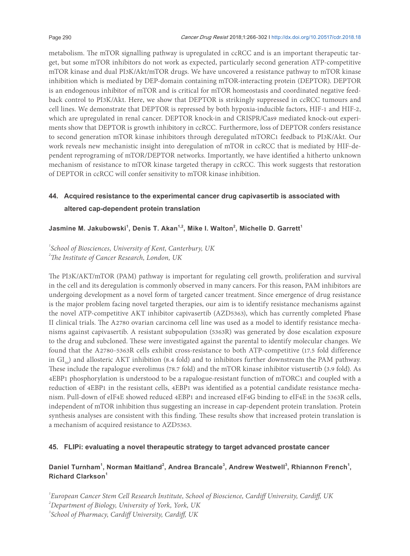metabolism. The mTOR signalling pathway is upregulated in ccRCC and is an important therapeutic target, but some mTOR inhibitors do not work as expected, particularly second generation ATP-competitive mTOR kinase and dual PI3K/Akt/mTOR drugs. We have uncovered a resistance pathway to mTOR kinase inhibition which is mediated by DEP-domain containing mTOR-interacting protein (DEPTOR). DEPTOR is an endogenous inhibitor of mTOR and is critical for mTOR homeostasis and coordinated negative feedback control to PI3K/Akt. Here, we show that DEPTOR is strikingly suppressed in ccRCC tumours and cell lines. We demonstrate that DEPTOR is repressed by both hypoxia-inducible factors, HIF-1 and HIF-2, which are upregulated in renal cancer. DEPTOR knock-in and CRISPR/Cas9 mediated knock-out experiments show that DEPTOR is growth inhibitory in ccRCC. Furthermore, loss of DEPTOR confers resistance to second generation mTOR kinase inhibitors through deregulated mTORC1 feedback to PI3K/Akt. Our work reveals new mechanistic insight into deregulation of mTOR in ccRCC that is mediated by HIF-dependent reprograming of mTOR/DEPTOR networks. Importantly, we have identified a hitherto unknown mechanism of resistance to mTOR kinase targeted therapy in ccRCC. This work suggests that restoration of DEPTOR in ccRCC will confer sensitivity to mTOR kinase inhibition.

### **44. Acquired resistance to the experimental cancer drug capivasertib is associated with altered cap-dependent protein translation**

### **Jasmine M. Jakubowski<sup>1</sup> , Denis T. Akan1,2, Mike I. Walton<sup>2</sup> , Michelle D. Garrett<sup>1</sup>**

*1 School of Biosciences, University of Kent, Canterbury, UK <sup>2</sup>he Institute of Cancer Research, London, UK*

he PI3K/AKT/mTOR (PAM) pathway is important for regulating cell growth, proliferation and survival in the cell and its deregulation is commonly observed in many cancers. For this reason, PAM inhibitors are undergoing development as a novel form of targeted cancer treatment. Since emergence of drug resistance is the major problem facing novel targeted therapies, our aim is to identify resistance mechanisms against the novel ATP-competitive AKT inhibitor capivasertib (AZD5363), which has currently completed Phase II clinical trials. The A2780 ovarian carcinoma cell line was used as a model to identify resistance mechanisms against capivasertib. A resistant subpopulation (5363R) was generated by dose escalation exposure to the drug and subcloned. These were investigated against the parental to identify molecular changes. We found that the A2780-5363R cells exhibit cross-resistance to both ATP-competitive (17.5 fold difference in  $GI_{50}$ ) and allosteric AKT inhibition (8.4 fold) and to inhibitors further downstream the PAM pathway. hese include the rapalogue everolimus (78.7 fold) and the mTOR kinase inhibitor vistusertib (3.9 fold). As 4EBP1 phosphorylation is understood to be a rapalogue-resistant function of mTORC1 and coupled with a reduction of 4EBP1 in the resistant cells, 4EBP1 was identified as a potential candidate resistance mechanism. Pull-down of eIF4E showed reduced 4EBP1 and increased eIF4G binding to eIF4E in the 5363R cells, independent of mTOR inhibition thus suggesting an increase in cap-dependent protein translation. Protein synthesis analyses are consistent with this finding. These results show that increased protein translation is a mechanism of acquired resistance to AZD5363.

### **45. FLIPi: evaluating a novel therapeutic strategy to target advanced prostate cancer**

### Daniel Turnham<sup>1</sup>, Norman Maitland<sup>2</sup>, Andrea Brancale<sup>3</sup>, Andrew Westwell<sup>3</sup>, Rhiannon French<sup>1</sup>, **Richard Clarkson<sup>1</sup>**

*1 European Cancer Stem Cell Research Institute, School of Bioscience, Cardif University, Cardif, UK 2 Department of Biology, University of York, York, UK*

*3 School of Pharmacy, Cardif University, Cardif, UK*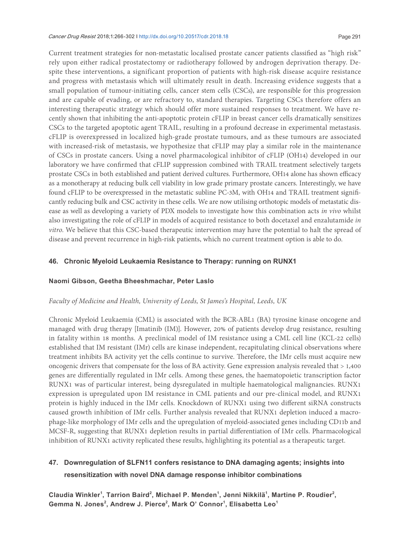#### Cancer Drug Resist 2018;1:266-302 I http://dx.doi.org/10.20517/cdr.2018.18 Page 291

Current treatment strategies for non-metastatic localised prostate cancer patients classified as "high risk" rely upon either radical prostatectomy or radiotherapy followed by androgen deprivation therapy. Despite these interventions, a significant proportion of patients with high-risk disease acquire resistance and progress with metastasis which will ultimately result in death. Increasing evidence suggests that a small population of tumour-initiating cells, cancer stem cells (CSCs), are responsible for this progression and are capable of evading, or are refractory to, standard therapies. Targeting CSCs therefore offers an interesting therapeutic strategy which should offer more sustained responses to treatment. We have recently shown that inhibiting the anti-apoptotic protein cFLIP in breast cancer cells dramatically sensitizes CSCs to the targeted apoptotic agent TRAIL, resulting in a profound decrease in experimental metastasis. cFLIP is overexpressed in localized high-grade prostate tumours, and as these tumours are associated with increased-risk of metastasis, we hypothesize that cFLIP may play a similar role in the maintenance of CSCs in prostate cancers. Using a novel pharmacological inhibitor of cFLIP (OH14) developed in our laboratory we have conirmed that cFLIP suppression combined with TRAIL treatment selectively targets prostate CSCs in both established and patient derived cultures. Furthermore, OH14 alone has shown efficacy as a monotherapy at reducing bulk cell viability in low grade primary prostate cancers. Interestingly, we have found cFLIP to be overexpressed in the metastatic subline PC-3M, with OH14 and TRAIL treatment signiicantly reducing bulk and CSC activity in these cells. We are now utilising orthotopic models of metastatic disease as well as developing a variety of PDX models to investigate how this combination acts *in vivo* whilst also investigating the role of cFLIP in models of acquired resistance to both docetaxel and enzalutamide *in vitro*. We believe that this CSC-based therapeutic intervention may have the potential to halt the spread of disease and prevent recurrence in high-risk patients, which no current treatment option is able to do.

### **46. Chronic Myeloid Leukaemia Resistance to Therapy: running on RUNX1**

### **Naomi Gibson, Geetha Bheeshmachar, Peter Laslo**

### *Faculty of Medicine and Health, University of Leeds, St James's Hospital, Leeds, UK*

Chronic Myeloid Leukaemia (CML) is associated with the BCR-ABL1 (BA) tyrosine kinase oncogene and managed with drug therapy [Imatinib (IM)]. However, 20% of patients develop drug resistance, resulting in fatality within 18 months. A preclinical model of IM resistance using a CML cell line (KCL-22 cells) established that IM resistant (IMr) cells are kinase independent, recapitulating clinical observations where treatment inhibits BA activity yet the cells continue to survive. Therefore, the IMr cells must acquire new oncogenic drivers that compensate for the loss of BA activity. Gene expression analysis revealed that > 1,400 genes are diferentially regulated in IMr cells. Among these genes, the haematopoietic transcription factor RUNX1 was of particular interest, being dysregulated in multiple haematological malignancies. RUNX1 expression is upregulated upon IM resistance in CML patients and our pre-clinical model, and RUNX1 protein is highly induced in the IMr cells. Knockdown of RUNX1 using two diferent siRNA constructs caused growth inhibition of IMr cells. Further analysis revealed that RUNX1 depletion induced a macrophage-like morphology of IMr cells and the upregulation of myeloid-associated genes including CD11b and MCSF-R, suggesting that RUNX1 depletion results in partial diferentiation of IMr cells. Pharmacological inhibition of RUNX1 activity replicated these results, highlighting its potential as a therapeutic target.

### **47. Downregulation of SLFN11 confers resistance to DNA damaging agents; insights into resensitization with novel DNA damage response inhibitor combinations**

Claudia Winkler<sup>1</sup>, Tarrion Baird<sup>2</sup>, Michael P. Menden<sup>1</sup>, Jenni Nikkilä<sup>1</sup>, Martine P. Roudier<sup>2</sup>, **Gemma N. Jones<sup>2</sup> , Andrew J. Pierce<sup>2</sup> , Mark O' Connor<sup>1</sup> , Elisabetta Leo<sup>1</sup>**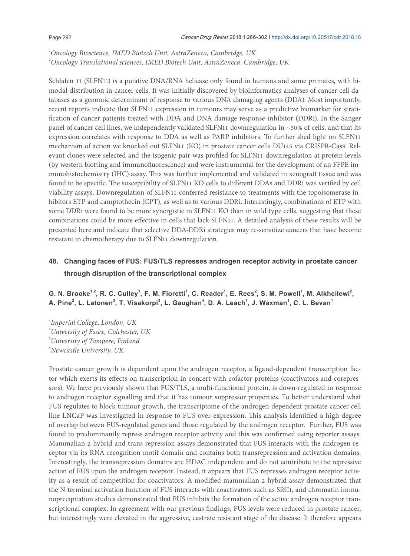*1 Oncology Bioscience, IMED Biotech Unit, AstraZeneca, Cambridge, UK 2 Oncology Translational sciences, IMED Biotech Unit, AstraZeneca, Cambridge, UK*

Schlafen 11 (SLFN11) is a putative DNA/RNA helicase only found in humans and some primates, with bimodal distribution in cancer cells. It was initially discovered by bioinformatics analyses of cancer cell databases as a genomic determinant of response to various DNA damaging agents (DDA). Most importantly, recent reports indicate that SLFN11 expression in tumours may serve as a predictive biomarker for stratification of cancer patients treated with DDA and DNA damage response inhibitor (DDRi). In the Sanger panel of cancer cell lines, we independently validated SLFN11 downregulation in ~50% of cells, and that its expression correlates with response to DDA as well as PARP inhibitors. To further shed light on SLFN11 mechanism of action we knocked out SLFN11 (KO) in prostate cancer cells DU145 via CRISPR-Cas9. Relevant clones were selected and the isogenic pair was profiled for SLFN11 downregulation at protein levels (by western blotting and immunoluorescence) and were instrumental for the development of an FFPE immunohistochemistry (IHC) assay. This was further implemented and validated in xenograft tissue and was found to be specific. The susceptibility of SLFN11 KO cells to different DDAs and DDRi was verified by cell viability assays. Downregulation of SLFN11 conferred resistance to treatments with the topoisomerase inhibitors ETP and camptothecin (CPT), as well as to various DDRi. Interestingly, combinations of ETP with some DDRi were found to be more synergistic in SLFN11 KO than in wild type cells, suggesting that these combinations could be more efective in cells that lack SLFN11. A detailed analysis of these results will be presented here and indicate that selective DDA-DDRi strategies may re-sensitize cancers that have become resistant to chemotherapy due to SLFN11 downregulation.

### **48. Changing faces of FUS: FUS/TLS represses androgen receptor activity in prostate cancer through disruption of the transcriptional complex**

G. N. Brooke<sup>1,2</sup>, R. C. Culley<sup>1</sup>, F. M. Fioretti<sup>1</sup>, C. Reader<sup>1</sup>, E. Rees<sup>2</sup>, S. M. Powell<sup>1</sup>, M. Alkheilewi<sup>2</sup>, **A. Pine<sup>2</sup> , L. Latonen<sup>3</sup> , T. Visakorpi<sup>3</sup> , L. Gaughan<sup>4</sup> , D. A. Leach<sup>1</sup> , J. Waxman<sup>1</sup> , C. L. Bevan<sup>1</sup>**

 *Imperial College, London, UK University of Essex, Colchester, UK University of Tampere, Finland Newcastle University, UK*

Prostate cancer growth is dependent upon the androgen receptor, a ligand-dependent transcription factor which exerts its efects on transcription in concert with cofactor proteins (coactivators and corepressors). We have previously shown that FUS/TLS, a multi-functional protein, is down-regulated in response to androgen receptor signalling and that it has tumour suppressor properties. To better understand what FUS regulates to block tumour growth, the transcriptome of the androgen-dependent prostate cancer cell line LNCaP was investigated in response to FUS over-expression. This analysis identified a high degree of overlap between FUS-regulated genes and those regulated by the androgen receptor. Further, FUS was found to predominantly repress androgen receptor activity and this was confirmed using reporter assays. Mammalian 2-hybrid and trans-repression assays demonstrated that FUS interacts with the androgen receptor via its RNA recognition motif domain and contains both transrepression and activation domains. Interestingly, the transrepression domains are HDAC independent and do not contribute to the repressive action of FUS upon the androgen receptor. Instead, it appears that FUS represses androgen receptor activity as a result of competition for coactivators. A modiied mammalian 2-hybrid assay demonstrated that the N-terminal activation function of FUS interacts with coactivators such as SRC1, and chromatin immunoprecipitation studies demonstrated that FUS inhibits the formation of the active androgen receptor transcriptional complex. In agreement with our previous indings, FUS levels were reduced in prostate cancer, but interestingly were elevated in the aggressive, castrate resistant stage of the disease. It therefore appears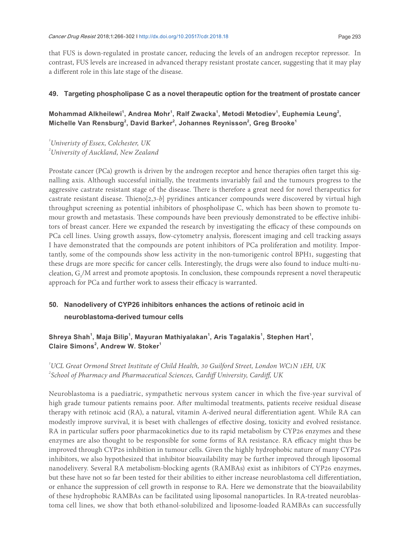that FUS is down-regulated in prostate cancer, reducing the levels of an androgen receptor repressor. In contrast, FUS levels are increased in advanced therapy resistant prostate cancer, suggesting that it may play a diferent role in this late stage of the disease.

### **49. Targeting phospholipase C as a novel therapeutic option for the treatment of prostate cancer**

### Mohammad Alkheilewi<sup>1</sup>, Andrea Mohr<sup>1</sup>, Ralf Zwacka<sup>1</sup>, Metodi Metodiev<sup>1</sup>, Euphemia Leung<sup>2</sup>, **Michelle Van Rensburg<sup>2</sup> , David Barker<sup>2</sup> , Johannes Reynisson<sup>2</sup> , Greg Brooke<sup>1</sup>**

*1 Univeristy of Essex, Colchester, UK 2 University of Auckland, New Zealand*

Prostate cancer (PCa) growth is driven by the androgen receptor and hence therapies oten target this signalling axis. Although successful initially, the treatments invariably fail and the tumours progress to the aggressive castrate resistant stage of the disease. There is therefore a great need for novel therapeutics for castrate resistant disease. hieno[2,3-*b*] pyridines anticancer compounds were discovered by virtual high throughput screening as potential inhibitors of phospholipase C, which has been shown to promote tumour growth and metastasis. These compounds have been previously demonstrated to be effective inhibitors of breast cancer. Here we expanded the research by investigating the efficacy of these compounds on PCa cell lines. Using growth assays, flow-cytometry analysis, florescent imaging and cell tracking assays I have demonstrated that the compounds are potent inhibitors of PCa proliferation and motility. Importantly, some of the compounds show less activity in the non-tumorigenic control BPH1, suggesting that these drugs are more specific for cancer cells. Interestingly, the drugs were also found to induce multi-nucleation,  $G_2/M$  arrest and promote apoptosis. In conclusion, these compounds represent a novel therapeutic approach for PCa and further work to assess their efficacy is warranted.

### **50. Nanodelivery of CYP26 inhibitors enhances the actions of retinoic acid in neuroblastoma-derived tumour cells**

### Shreya Shah<sup>1</sup>, Maja Bilip<sup>1</sup>, Mayuran Mathiyalakan<sup>1</sup>, Aris Tagalakis<sup>1</sup>, Stephen Hart<sup>1</sup>, **Claire Simons<sup>2</sup> , Andrew W. Stoker<sup>1</sup>**

*1 UCL Great Ormond Street Institute of Child Health, 30 Guilford Street, London WC1N 1EH, UK 2 School of Pharmacy and Pharmaceutical Sciences, Cardif University, Cardif, UK*

Neuroblastoma is a paediatric, sympathetic nervous system cancer in which the five-year survival of high grade tumour patients remains poor. Ater multimodal treatments, patients receive residual disease therapy with retinoic acid (RA), a natural, vitamin A-derived neural diferentiation agent. While RA can modestly improve survival, it is beset with challenges of efective dosing, toxicity and evolved resistance. RA in particular suffers poor pharmacokinetics due to its rapid metabolism by CYP26 enzymes and these enzymes are also thought to be responsible for some forms of RA resistance. RA efficacy might thus be improved through CYP26 inhibition in tumour cells. Given the highly hydrophobic nature of many CYP26 inhibitors, we also hypothesized that inhibitor bioavailability may be further improved through liposomal nanodelivery. Several RA metabolism-blocking agents (RAMBAs) exist as inhibitors of CYP26 enzymes, but these have not so far been tested for their abilities to either increase neuroblastoma cell diferentiation, or enhance the suppression of cell growth in response to RA. Here we demonstrate that the bioavailability of these hydrophobic RAMBAs can be facilitated using liposomal nanoparticles. In RA-treated neuroblastoma cell lines, we show that both ethanol-solubilized and liposome-loaded RAMBAs can successfully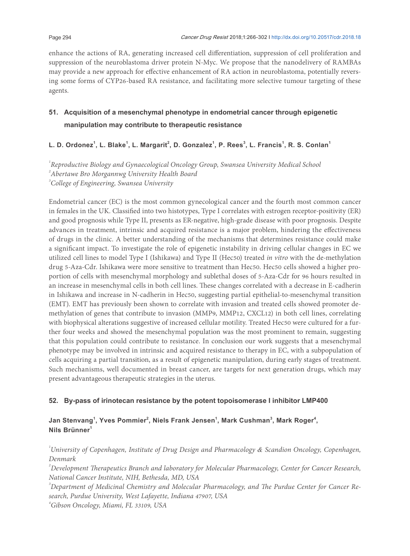enhance the actions of RA, generating increased cell diferentiation, suppression of cell proliferation and suppression of the neuroblastoma driver protein N-Myc. We propose that the nanodelivery of RAMBAs may provide a new approach for efective enhancement of RA action in neuroblastoma, potentially reversing some forms of CYP26-based RA resistance, and facilitating more selective tumour targeting of these agents.

### **51. Acquisition of a mesenchymal phenotype in endometrial cancer through epigenetic manipulation may contribute to therapeutic resistance**

**L. D. Ordonez<sup>1</sup> , L. Blake<sup>1</sup> , L. Margarit<sup>2</sup> , D. Gonzalez<sup>1</sup> , P. Rees<sup>3</sup> , L. Francis<sup>1</sup> , R. S. Conlan<sup>1</sup>**

*1 Reproductive Biology and Gynaecological Oncology Group, Swansea University Medical School 2 Abertawe Bro Morgannwg University Health Board 3 College of Engineering, Swansea University* 

Endometrial cancer (EC) is the most common gynecological cancer and the fourth most common cancer in females in the UK. Classified into two histotypes, Type I correlates with estrogen receptor-positivity (ER) and good prognosis while Type II, presents as ER-negative, high-grade disease with poor prognosis. Despite advances in treatment, intrinsic and acquired resistance is a major problem, hindering the efectiveness of drugs in the clinic. A better understanding of the mechanisms that determines resistance could make a signiicant impact. To investigate the role of epigenetic instability in driving cellular changes in EC we utilized cell lines to model Type I (Ishikawa) and Type II (Hec50) treated *in vitro* with the de-methylation drug 5-Aza-Cdr. Ishikawa were more sensitive to treatment than Hec50. Hec50 cells showed a higher proportion of cells with mesenchymal morphology and sublethal doses of 5-Aza-Cdr for 96 hours resulted in an increase in mesenchymal cells in both cell lines. These changes correlated with a decrease in E-cadherin in Ishikawa and increase in N-cadherin in Hec50, suggesting partial epithelial-to-mesenchymal transition (EMT). EMT has previously been shown to correlate with invasion and treated cells showed promoter demethylation of genes that contribute to invasion (MMP9, MMP12, CXCL12) in both cell lines, correlating with biophysical alterations suggestive of increased cellular motility. Treated Hec50 were cultured for a further four weeks and showed the mesenchymal population was the most prominent to remain, suggesting that this population could contribute to resistance. In conclusion our work suggests that a mesenchymal phenotype may be involved in intrinsic and acquired resistance to therapy in EC, with a subpopulation of cells acquiring a partial transition, as a result of epigenetic manipulation, during early stages of treatment. Such mechanisms, well documented in breast cancer, are targets for next generation drugs, which may present advantageous therapeutic strategies in the uterus.

### **52. By-pass of irinotecan resistance by the potent topoisomerase I inhibitor LMP400**

### **Jan Stenvang<sup>1</sup> , Yves Pommier<sup>2</sup> , Niels Frank Jensen<sup>1</sup> , Mark Cushman<sup>3</sup> , Mark Roger<sup>4</sup> , Nils Brünner<sup>1</sup>**

*1 University of Copenhagen, Institute of Drug Design and Pharmacology & Scandion Oncology, Copenhagen, Denmark* 

*2 Development herapeutics Branch and laboratory for Molecular Pharmacology, Center for Cancer Research, National Cancer Institute, NIH, Bethesda, MD, USA*

<sup>3</sup> Department of Medicinal Chemistry and Molecular Pharmacology, and The Purdue Center for Cancer Re*search, Purdue University, West Lafayette, Indiana 47907, USA*

*4 Gibson Oncology, Miami, FL 33109, USA*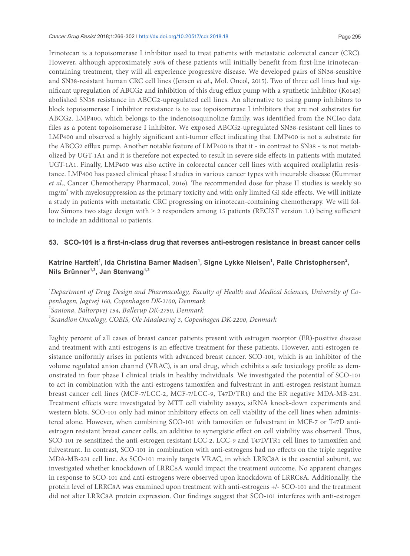Irinotecan is a topoisomerase I inhibitor used to treat patients with metastatic colorectal cancer (CRC). However, although approximately 50% of these patients will initially benefit from first-line irinotecancontaining treatment, they will all experience progressive disease. We developed pairs of SN38-sensitive and SN38-resistant human CRC cell lines (Jensen *et al*., Mol. Oncol, 2015). Two of three cell lines had significant upregulation of ABCG2 and inhibition of this drug efflux pump with a synthetic inhibitor (Ko143) abolished SN38 resistance in ABCG2-upregulated cell lines. An alternative to using pump inhibitors to block topoisomerase I inhibitor resistance is to use topoisomerase I inhibitors that are not substrates for ABCG2. LMP400, which belongs to the indenoisoquinoline family, was identified from the NCI60 data files as a potent topoisomerase I inhibitor. We exposed ABCG2-upregulated SN38-resistant cell lines to LMP400 and observed a highly significant anti-tumor effect indicating that LMP400 is not a substrate for the ABCG2 efflux pump. Another notable feature of LMP400 is that it - in contrast to SN38 - is not metabolized by UGT-1A1 and it is therefore not expected to result in severe side efects in patients with mutated UGT-1A1. Finally, LMP400 was also active in colorectal cancer cell lines with acquired oxaliplatin resistance. LMP400 has passed clinical phase I studies in various cancer types with incurable disease (Kummar *et al.*, Cancer Chemotherapy Pharmacol, 2016). The recommended dose for phase II studies is weekly 90 mg/m<sup>2</sup> with myelosuppression as the primary toxicity and with only limited GI side effects. We will initiate a study in patients with metastatic CRC progressing on irinotecan-containing chemotherapy. We will follow Simons two stage design with ≥ 2 responders among 15 patients (RECIST version 1.1) being sufficient to include an additional 10 patients.

#### **53. SCO-101 is a first-in-class drug that reverses anti-estrogen resistance in breast cancer cells**

### **Katrine Hartfelt<sup>1</sup> , Ida Christina Barner Madsen<sup>1</sup> , Signe Lykke Nielsen<sup>1</sup> , Palle Christophersen<sup>2</sup> , Nils Brünner1,3, Jan Stenvang1,3**

 *Department of Drug Design and Pharmacology, Faculty of Health and Medical Sciences, University of Copenhagen, Jagtvej 160, Copenhagen DK-2100, Denmark Saniona, Baltorpvej 154, Ballerup DK-2750, Denmark Scandion Oncology, COBIS, Ole Maaløesvej 3, Copenhagen DK-2200, Denmark* 

Eighty percent of all cases of breast cancer patients present with estrogen receptor (ER)-positive disease and treatment with anti-estrogens is an efective treatment for these patients. However, anti-estrogen resistance uniformly arises in patients with advanced breast cancer. SCO-101, which is an inhibitor of the volume regulated anion channel (VRAC), is an oral drug, which exhibits a safe toxicology profile as demonstrated in four phase I clinical trials in healthy individuals. We investigated the potential of SCO-101 to act in combination with the anti-estrogens tamoxifen and fulvestrant in anti-estrogen resistant human breast cancer cell lines (MCF-7/LCC-2, MCF-7/LCC-9, T47D/TR1) and the ER negative MDA-MB-231. Treatment effects were investigated by MTT cell viability assays, siRNA knock-down experiments and western blots. SCO-101 only had minor inhibitory efects on cell viability of the cell lines when administered alone. However, when combining SCO-101 with tamoxifen or fulvestrant in MCF-7 or T47D antiestrogen resistant breast cancer cells, an additive to synergistic effect on cell viability was observed. Thus, SCO-101 re-sensitized the anti-estrogen resistant LCC-2, LCC-9 and T47D/TR1 cell lines to tamoxifen and fulvestrant. In contrast, SCO-101 in combination with anti-estrogens had no efects on the triple negative MDA-MB-231 cell line. As SCO-101 mainly targets VRAC, in which LRRC8A is the essential subunit, we investigated whether knockdown of LRRC8A would impact the treatment outcome. No apparent changes in response to SCO-101 and anti-estrogens were observed upon knockdown of LRRC8A. Additionally, the protein level of LRRC8A was examined upon treatment with anti-estrogens +/- SCO-101 and the treatment did not alter LRRC8A protein expression. Our findings suggest that SCO-101 interferes with anti-estrogen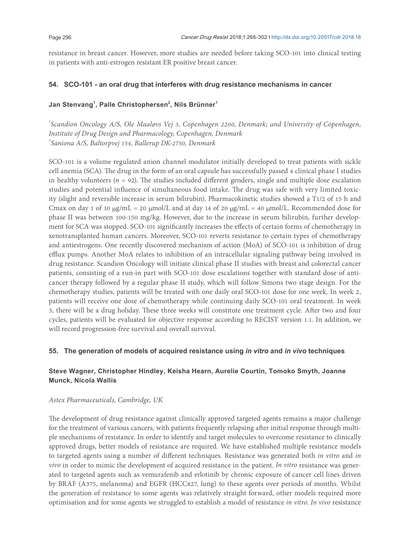resistance in breast cancer. However, more studies are needed before taking SCO-101 into clinical testing in patients with anti-estrogen resistant ER positive breast cancer.

### **54. SCO-101 - an oral drug that interferes with drug resistance mechanisms in cancer**

### **Jan Stenvang<sup>1</sup> , Palle Christophersen<sup>2</sup> , Nils Brünner<sup>1</sup>**

<sup>1</sup> Scandion Oncology A/S, Ole Maaløvs Vej 3, Copenhagen 2200, Denmark; and University of Copenhagen, *Institute of Drug Design and Pharmacology, Copenhagen, Denmark 2 Saniona A/S, Baltorpvej 154, Ballerup DK-2750, Denmark* 

SCO-101 is a volume regulated anion channel modulator initially developed to treat patients with sickle cell anemia (SCA). he drug in the form of an oral capsule has successfully passed 4 clinical phase I studies in healthy volunteers  $(n = 92)$ . The studies included different genders, single and multiple dose escalation studies and potential inluence of simultaneous food intake. he drug was safe with very limited toxicity (slight and reversible increase in serum bilirubin). Pharmacokinetic studies showed a T1/2 of 15 h and Cmax on day 1 of 10 μg/mL = 20 μmol/L and at day 14 of 20 μg/mL = 40 μmol/L. Recommended dose for phase II was between 100-150 mg/kg. However, due to the increase in serum bilirubin, further development for SCA was stopped. SCO-101 significantly increases the effects of certain forms of chemotherapy in xenotransplanted human cancers. Moreover, SCO-101 reverts resistance to certain types of chemotherapy and antiestrogens. One recently discovered mechanism of action (MoA) of SCO-101 is inhibition of drug efflux pumps. Another MoA relates to inhibition of an intracellular signaling pathway being involved in drug resistance. Scandion Oncology will initiate clinical phase II studies with breast and colorectal cancer patients, consisting of a run-in part with SCO-101 dose escalations together with standard dose of anticancer therapy followed by a regular phase II study, which will follow Simons two stage design. For the chemotherapy studies, patients will be treated with one daily oral SCO-101 dose for one week. In week 2, patients will receive one dose of chemotherapy while continuing daily SCO-101 oral treatment. In week 3, there will be a drug holiday. These three weeks will constitute one treatment cycle. After two and four cycles, patients will be evaluated for objective response according to RECIST version 1.1. In addition, we will record progression-free survival and overall survival.

### **55. The generation of models of acquired resistance using** *in vitro* **and** *in vivo* **techniques**

### **Steve Wagner, Christopher Hindley, Keisha Hearn, Aurelie Courtin, Tomoko Smyth, Joanne Munck, Nicola Wallis**

### *Astex Pharmaceuticals, Cambridge, UK*

The development of drug resistance against clinically approved targeted agents remains a major challenge for the treatment of various cancers, with patients frequently relapsing ater initial response through multiple mechanisms of resistance. In order to identify and target molecules to overcome resistance to clinically approved drugs, better models of resistance are required. We have established multiple resistance models to targeted agents using a number of diferent techniques. Resistance was generated both *in vitro* and *in vivo* in order to mimic the development of acquired resistance in the patient. *In vitro* resistance was generated to targeted agents such as vemurafenib and erlotinib by chronic exposure of cancer cell lines driven by BRAF (A375, melanoma) and EGFR (HCC827, lung) to these agents over periods of months. Whilst the generation of resistance to some agents was relatively straight forward, other models required more optimisation and for some agents we struggled to establish a model of resistance *in vitro*. *In vivo* resistance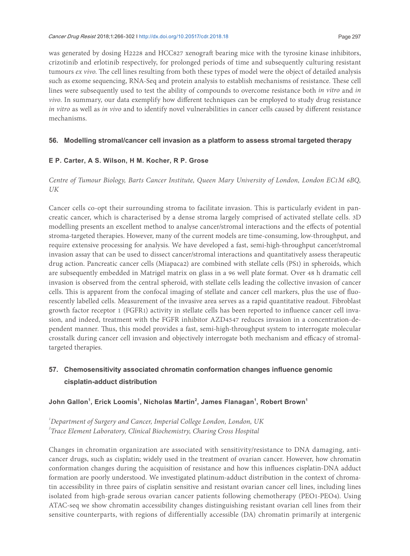was generated by dosing H2228 and HCC827 xenograt bearing mice with the tyrosine kinase inhibitors, crizotinib and erlotinib respectively, for prolonged periods of time and subsequently culturing resistant tumours *ex vivo*. The cell lines resulting from both these types of model were the object of detailed analysis such as exome sequencing, RNA-Seq and protein analysis to establish mechanisms of resistance. These cell lines were subsequently used to test the ability of compounds to overcome resistance both *in vitro* and *in vivo*. In summary, our data exemplify how diferent techniques can be employed to study drug resistance *in vitro* as well as *in vivo* and to identify novel vulnerabilities in cancer cells caused by diferent resistance mechanisms.

### **56. Modelling stromal/cancer cell invasion as a platform to assess stromal targeted therapy**

### **E P. Carter, A S. Wilson, H M. Kocher, R P. Grose**

### *Centre of Tumour Biology, Barts Cancer Institute, Queen Mary University of London, London EC1M 6BQ, UK*

Cancer cells co-opt their surrounding stroma to facilitate invasion. This is particularly evident in pancreatic cancer, which is characterised by a dense stroma largely comprised of activated stellate cells. 3D modelling presents an excellent method to analyse cancer/stromal interactions and the efects of potential stroma-targeted therapies. However, many of the current models are time-consuming, low-throughput, and require extensive processing for analysis. We have developed a fast, semi-high-throughput cancer/stromal invasion assay that can be used to dissect cancer/stromal interactions and quantitatively assess therapeutic drug action. Pancreatic cancer cells (Miapaca2) are combined with stellate cells (PS1) in spheroids, which are subsequently embedded in Matrigel matrix on glass in a 96 well plate format. Over 48 h dramatic cell invasion is observed from the central spheroid, with stellate cells leading the collective invasion of cancer cells. This is apparent from the confocal imaging of stellate and cancer cell markers, plus the use of fluorescently labelled cells. Measurement of the invasive area serves as a rapid quantitative readout. Fibroblast growth factor receptor 1 (FGFR1) activity in stellate cells has been reported to inluence cancer cell invasion, and indeed, treatment with the FGFR inhibitor AZD4547 reduces invasion in a concentration-dependent manner. Thus, this model provides a fast, semi-high-throughput system to interrogate molecular crosstalk during cancer cell invasion and objectively interrogate both mechanism and efficacy of stromaltargeted therapies.

### **57. Chemosensitivity associated chromatin conformation changes influence genomic cisplatin-adduct distribution**

### **John Gallon<sup>1</sup> , Erick Loomis<sup>1</sup> , Nicholas Martin<sup>2</sup> , James Flanagan<sup>1</sup> , Robert Brown<sup>1</sup>**

*1 Department of Surgery and Cancer, Imperial College London, London, UK 2 Trace Element Laboratory, Clinical Biochemistry, Charing Cross Hospital*

Changes in chromatin organization are associated with sensitivity/resistance to DNA damaging, anticancer drugs, such as cisplatin; widely used in the treatment of ovarian cancer. However, how chromatin conformation changes during the acquisition of resistance and how this inluences cisplatin-DNA adduct formation are poorly understood. We investigated platinum-adduct distribution in the context of chromatin accessibility in three pairs of cisplatin sensitive and resistant ovarian cancer cell lines, including lines isolated from high-grade serous ovarian cancer patients following chemotherapy (PEO1-PEO4). Using ATAC-seq we show chromatin accessibility changes distinguishing resistant ovarian cell lines from their sensitive counterparts, with regions of differentially accessible (DA) chromatin primarily at intergenic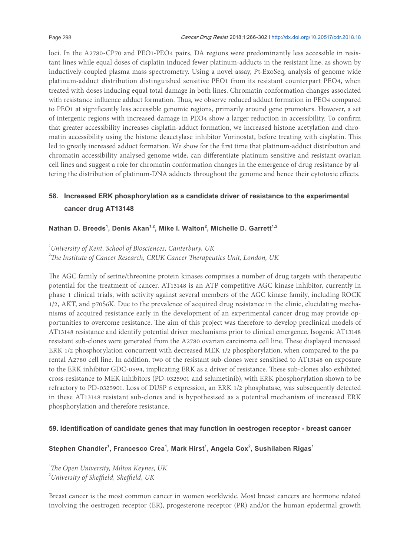loci. In the A2780-CP70 and PEO1-PEO4 pairs, DA regions were predominantly less accessible in resistant lines while equal doses of cisplatin induced fewer platinum-adducts in the resistant line, as shown by inductively-coupled plasma mass spectrometry. Using a novel assay, Pt-ExoSeq, analysis of genome wide platinum-adduct distribution distinguished sensitive PEO1 from its resistant counterpart PEO4, when treated with doses inducing equal total damage in both lines. Chromatin conformation changes associated with resistance influence adduct formation. Thus, we observe reduced adduct formation in PEO4 compared to PEO1 at significantly less accessible genomic regions, primarily around gene promoters. However, a set of intergenic regions with increased damage in PEO4 show a larger reduction in accessibility. To confirm that greater accessibility increases cisplatin-adduct formation, we increased histone acetylation and chromatin accessibility using the histone deacetylase inhibitor Vorinostat, before treating with cisplatin. This led to greatly increased adduct formation. We show for the first time that platinum-adduct distribution and chromatin accessibility analysed genome-wide, can diferentiate platinum sensitive and resistant ovarian cell lines and suggest a role for chromatin conformation changes in the emergence of drug resistance by altering the distribution of platinum-DNA adducts throughout the genome and hence their cytotoxic efects.

### **58. Increased ERK phosphorylation as a candidate driver of resistance to the experimental cancer drug AT13148**

**Nathan D. Breeds<sup>1</sup> , Denis Akan1,2, Mike I. Walton<sup>2</sup> , Michelle D. Garrett1,2**

*1 University of Kent, School of Biosciences, Canterbury, UK*

*<sup>2</sup>he Institute of Cancer Research, CRUK Cancer herapeutics Unit, London, UK*

The AGC family of serine/threonine protein kinases comprises a number of drug targets with therapeutic potential for the treatment of cancer. AT13148 is an ATP competitive AGC kinase inhibitor, currently in phase 1 clinical trials, with activity against several members of the AGC kinase family, including ROCK 1/2, AKT, and p70S6K. Due to the prevalence of acquired drug resistance in the clinic, elucidating mechanisms of acquired resistance early in the development of an experimental cancer drug may provide opportunities to overcome resistance. The aim of this project was therefore to develop preclinical models of AT13148 resistance and identify potential driver mechanisms prior to clinical emergence. Isogenic AT13148 resistant sub-clones were generated from the A2780 ovarian carcinoma cell line. These displayed increased ERK 1/2 phosphorylation concurrent with decreased MEK 1/2 phosphorylation, when compared to the parental A2780 cell line. In addition, two of the resistant sub-clones were sensitised to AT13148 on exposure to the ERK inhibitor GDC-0994, implicating ERK as a driver of resistance. These sub-clones also exhibited cross-resistance to MEK inhibitors (PD-0325901 and selumetinib), with ERK phosphorylation shown to be refractory to PD-0325901. Loss of DUSP 6 expression, an ERK 1/2 phosphatase, was subsequently detected in these AT13148 resistant sub-clones and is hypothesised as a potential mechanism of increased ERK phosphorylation and therefore resistance.

### **59. Identification of candidate genes that may function in oestrogen receptor - breast cancer**

### **Stephen Chandler<sup>1</sup> , Francesco Crea<sup>1</sup> , Mark Hirst<sup>1</sup> , Angela Cox<sup>2</sup> , Sushilaben Rigas<sup>1</sup>**

*<sup>1</sup>he Open University, Milton Keynes, UK*

<sup>2</sup> University of Sheffield, Sheffield, UK

Breast cancer is the most common cancer in women worldwide. Most breast cancers are hormone related involving the oestrogen receptor (ER), progesterone receptor (PR) and/or the human epidermal growth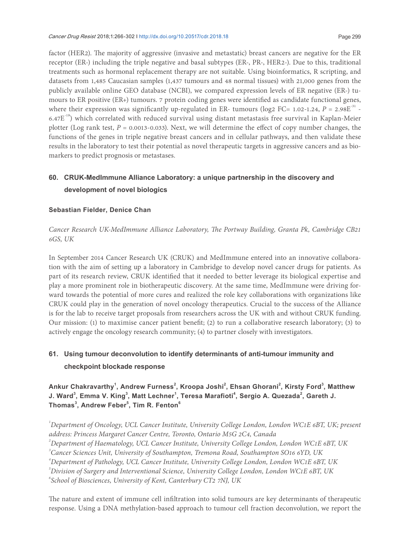factor (HER2). The majority of aggressive (invasive and metastatic) breast cancers are negative for the ER receptor (ER-) including the triple negative and basal subtypes (ER-, PR-, HER2-). Due to this, traditional treatments such as hormonal replacement therapy are not suitable. Using bioinformatics, R scripting, and datasets from 1,485 Caucasian samples (1,437 tumours and 48 normal tissues) with 21,000 genes from the publicly available online GEO database (NCBI), we compared expression levels of ER negative (ER-) tumours to ER positive (ER+) tumours. 7 protein coding genes were identified as candidate functional genes, where their expression was significantly up-regulated in ER- tumours (log2 FC= 1.02-1.24,  $P = 2.98E^{-31}$  -6.47 $E^{-19}$ ) which correlated with reduced survival using distant metastasis free survival in Kaplan-Meier plotter (Log rank test,  $P = 0.0013-0.033$ ). Next, we will determine the effect of copy number changes, the functions of the genes in triple negative breast cancers and in cellular pathways, and then validate these results in the laboratory to test their potential as novel therapeutic targets in aggressive cancers and as biomarkers to predict prognosis or metastases.

### **60. CRUK-MedImmune Alliance Laboratory: a unique partnership in the discovery and development of novel biologics**

### **Sebastian Fielder, Denice Chan**

### *Cancer Research UK-MedImmune Alliance Laboratory, he Portway Building, Granta Pk, Cambridge CB21 6GS, UK*

In September 2014 Cancer Research UK (CRUK) and MedImmune entered into an innovative collaboration with the aim of setting up a laboratory in Cambridge to develop novel cancer drugs for patients. As part of its research review, CRUK identiied that it needed to better leverage its biological expertise and play a more prominent role in biotherapeutic discovery. At the same time, MedImmune were driving forward towards the potential of more cures and realized the role key collaborations with organizations like CRUK could play in the generation of novel oncology therapeutics. Crucial to the success of the Alliance is for the lab to receive target proposals from researchers across the UK with and without CRUK funding. Our mission: (1) to maximise cancer patient beneit; (2) to run a collaborative research laboratory; (3) to actively engage the oncology research community; (4) to partner closely with investigators.

### **61. Using tumour deconvolution to identify determinants of anti-tumour immunity and checkpoint blockade response**

### **Ankur Chakravarthy<sup>1</sup> , Andrew Furness<sup>2</sup> , Kroopa Joshi<sup>2</sup> , Ehsan Ghorani<sup>2</sup> , Kirsty Ford<sup>3</sup> , Matthew J. Ward<sup>3</sup> , Emma V. King<sup>3</sup> , Matt Lechner<sup>1</sup> , Teresa Marafioti<sup>4</sup> , Sergio A. Quezada<sup>2</sup> , Gareth J. Thomas<sup>3</sup> , Andrew Feber<sup>5</sup> , Tim R. Fenton<sup>6</sup>**

 *Department of Oncology, UCL Cancer Institute, University College London, London WC1E 6BT, UK; present address: Princess Margaret Cancer Centre, Toronto, Ontario M5G 2C4, Canada Department of Haematology, UCL Cancer Institute, University College London, London WC1E 6BT, UK Cancer Sciences Unit, University of Southampton, Tremona Road, Southampton SO16 6YD, UK Department of Pathology, UCL Cancer Institute, University College London, London WC1E 6BT, UK Division of Surgery and Interventional Science, University College London, London WC1E 6BT, UK School of Biosciences, University of Kent, Canterbury CT2 7NJ, UK*

The nature and extent of immune cell infiltration into solid tumours are key determinants of therapeutic response. Using a DNA methylation-based approach to tumour cell fraction deconvolution, we report the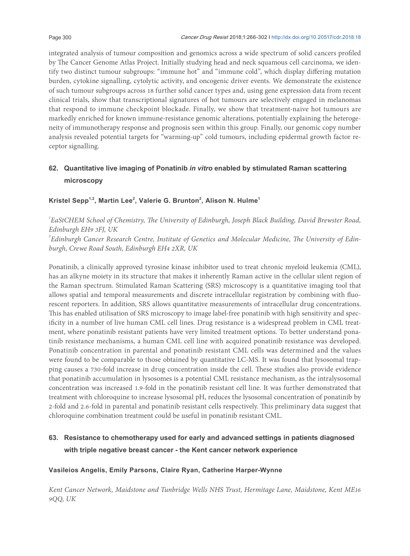integrated analysis of tumour composition and genomics across a wide spectrum of solid cancers proiled by The Cancer Genome Atlas Project. Initially studying head and neck squamous cell carcinoma, we identify two distinct tumour subgroups: "immune hot" and "immune cold", which display difering mutation burden, cytokine signalling, cytolytic activity, and oncogenic driver events. We demonstrate the existence of such tumour subgroups across 18 further solid cancer types and, using gene expression data from recent clinical trials, show that transcriptional signatures of hot tumours are selectively engaged in melanomas that respond to immune checkpoint blockade. Finally, we show that treatment-naive hot tumours are markedly enriched for known immune-resistance genomic alterations, potentially explaining the heterogeneity of immunotherapy response and prognosis seen within this group. Finally, our genomic copy number analysis revealed potential targets for "warming-up" cold tumours, including epidermal growth factor receptor signalling.

### **62. Quantitative live imaging of Ponatinib** *in vitro* **enabled by stimulated Raman scattering microscopy**

**Kristel Sepp1,2, Martin Lee<sup>2</sup> , Valerie G. Brunton<sup>2</sup> , Alison N. Hulme<sup>1</sup>**

<sup>1</sup> EaStCHEM School of Chemistry, The University of Edinburgh, Joseph Black Building, David Brewster Road, *Edinburgh EH9 3FJ, UK* 

<sup>2</sup> Edinburgh Cancer Research Centre, Institute of Genetics and Molecular Medicine, The University of Edin*burgh, Crewe Road South, Edinburgh EH4 2XR, UK*

Ponatinib, a clinically approved tyrosine kinase inhibitor used to treat chronic myeloid leukemia (CML), has an alkyne moiety in its structure that makes it inherently Raman active in the cellular silent region of the Raman spectrum. Stimulated Raman Scattering (SRS) microscopy is a quantitative imaging tool that allows spatial and temporal measurements and discrete intracellular registration by combining with luorescent reporters. In addition, SRS allows quantitative measurements of intracellular drug concentrations. his has enabled utilisation of SRS microscopy to image label-free ponatinib with high sensitivity and specificity in a number of live human CML cell lines. Drug resistance is a widespread problem in CML treatment, where ponatinib resistant patients have very limited treatment options. To better understand ponatinib resistance mechanisms, a human CML cell line with acquired ponatinib resistance was developed. Ponatinib concentration in parental and ponatinib resistant CML cells was determined and the values were found to be comparable to those obtained by quantitative LC-MS. It was found that lysosomal trapping causes a 730-fold increase in drug concentration inside the cell. These studies also provide evidence that ponatinib accumulation in lysosomes is a potential CML resistance mechanism, as the intralysosomal concentration was increased 1.9-fold in the ponatinib resistant cell line. It was further demonstrated that treatment with chloroquine to increase lysosomal pH, reduces the lysosomal concentration of ponatinib by 2-fold and 2.6-fold in parental and ponatinib resistant cells respectively. This preliminary data suggest that chloroquine combination treatment could be useful in ponatinib resistant CML.

### **63. Resistance to chemotherapy used for early and advanced settings in patients diagnosed with triple negative breast cancer - the Kent cancer network experience**

### **Vasileios Angelis, Emily Parsons, Claire Ryan, Catherine Harper-Wynne**

*Kent Cancer Network, Maidstone and Tunbridge Wells NHS Trust, Hermitage Lane, Maidstone, Kent ME16 9QQ, UK*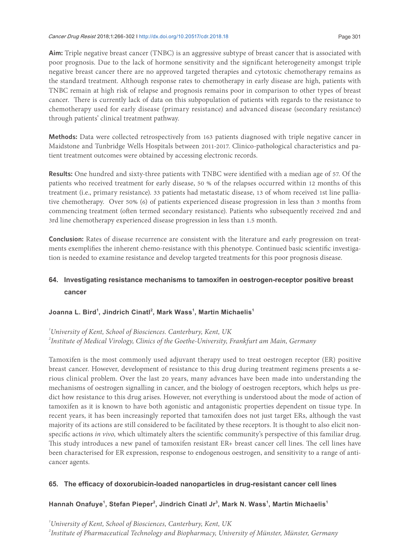**Aim:** Triple negative breast cancer (TNBC) is an aggressive subtype of breast cancer that is associated with poor prognosis. Due to the lack of hormone sensitivity and the significant heterogeneity amongst triple negative breast cancer there are no approved targeted therapies and cytotoxic chemotherapy remains as the standard treatment. Although response rates to chemotherapy in early disease are high, patients with TNBC remain at high risk of relapse and prognosis remains poor in comparison to other types of breast cancer. There is currently lack of data on this subpopulation of patients with regards to the resistance to chemotherapy used for early disease (primary resistance) and advanced disease (secondary resistance) through patients' clinical treatment pathway.

**Methods:** Data were collected retrospectively from 163 patients diagnosed with triple negative cancer in Maidstone and Tunbridge Wells Hospitals between 2011-2017. Clinico-pathological characteristics and patient treatment outcomes were obtained by accessing electronic records.

**Results:** One hundred and sixty-three patients with TNBC were identiied with a median age of 57. Of the patients who received treatment for early disease, 50 % of the relapses occurred within 12 months of this treatment (i.e., primary resistance). 33 patients had metastatic disease, 13 of whom received 1st line palliative chemotherapy. Over 50% (6) of patients experienced disease progression in less than 3 months from commencing treatment (oten termed secondary resistance). Patients who subsequently received 2nd and 3rd line chemotherapy experienced disease progression in less than 1.5 month.

**Conclusion:** Rates of disease recurrence are consistent with the literature and early progression on treatments exemplifies the inherent chemo-resistance with this phenotype. Continued basic scientific investigation is needed to examine resistance and develop targeted treatments for this poor prognosis disease.

### **64. Investigating resistance mechanisms to tamoxifen in oestrogen-receptor positive breast cancer**

### **Joanna L. Bird<sup>1</sup> , Jindrich Cinatl<sup>2</sup> , Mark Wass<sup>1</sup> , Martin Michaelis<sup>1</sup>**

*1 University of Kent, School of Biosciences. Canterbury, Kent, UK 2 Institute of Medical Virology, Clinics of the Goethe-University, Frankfurt am Main, Germany*

Tamoxifen is the most commonly used adjuvant therapy used to treat oestrogen receptor (ER) positive breast cancer. However, development of resistance to this drug during treatment regimens presents a serious clinical problem. Over the last 20 years, many advances have been made into understanding the mechanisms of oestrogen signalling in cancer, and the biology of oestrogen receptors, which helps us predict how resistance to this drug arises. However, not everything is understood about the mode of action of tamoxifen as it is known to have both agonistic and antagonistic properties dependent on tissue type. In recent years, it has been increasingly reported that tamoxifen does not just target ERs, although the vast majority of its actions are still considered to be facilitated by these receptors. It is thought to also elicit nonspecific actions *in vivo*, which ultimately alters the scientific community's perspective of this familiar drug. This study introduces a new panel of tamoxifen resistant ER+ breast cancer cell lines. The cell lines have been characterised for ER expression, response to endogenous oestrogen, and sensitivity to a range of anticancer agents.

### **65. The efficacy of doxorubicin-loaded nanoparticles in drug-resistant cancer cell lines**

### **Hannah Onafuye<sup>1</sup> , Stefan Pieper<sup>2</sup> , Jindrich Cinatl Jr<sup>3</sup> , Mark N. Wass<sup>1</sup> , Martin Michaelis<sup>1</sup>**

*1 University of Kent, School of Biosciences, Canterbury, Kent, UK 2 Institute of Pharmaceutical Technology and Biopharmacy, University of Münster, Münster, Germany*